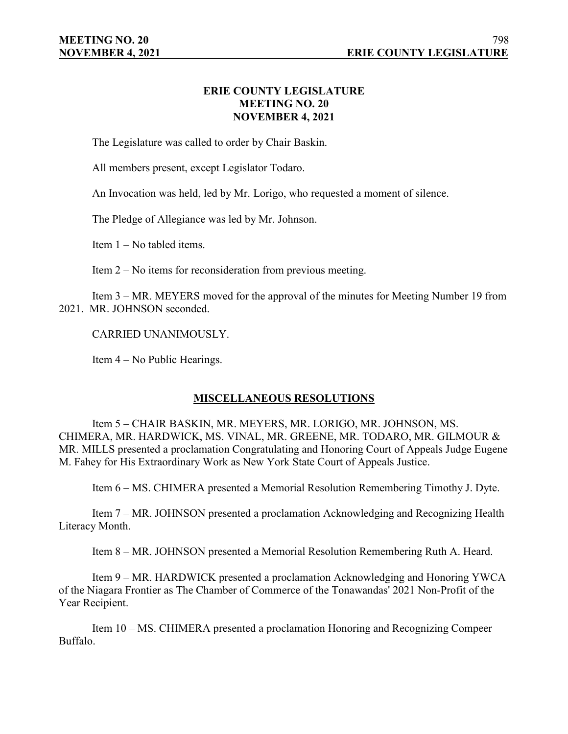## **ERIE COUNTY LEGISLATURE MEETING NO. 20 NOVEMBER 4, 2021**

The Legislature was called to order by Chair Baskin.

All members present, except Legislator Todaro.

An Invocation was held, led by Mr. Lorigo, who requested a moment of silence.

The Pledge of Allegiance was led by Mr. Johnson.

Item 1 – No tabled items.

Item 2 – No items for reconsideration from previous meeting.

Item 3 – MR. MEYERS moved for the approval of the minutes for Meeting Number 19 from 2021. MR. JOHNSON seconded.

CARRIED UNANIMOUSLY.

Item 4 – No Public Hearings.

## **MISCELLANEOUS RESOLUTIONS**

Item 5 – CHAIR BASKIN, MR. MEYERS, MR. LORIGO, MR. JOHNSON, MS. CHIMERA, MR. HARDWICK, MS. VINAL, MR. GREENE, MR. TODARO, MR. GILMOUR & MR. MILLS presented a proclamation Congratulating and Honoring Court of Appeals Judge Eugene M. Fahey for His Extraordinary Work as New York State Court of Appeals Justice.

Item 6 – MS. CHIMERA presented a Memorial Resolution Remembering Timothy J. Dyte.

Item 7 – MR. JOHNSON presented a proclamation Acknowledging and Recognizing Health Literacy Month.

Item 8 – MR. JOHNSON presented a Memorial Resolution Remembering Ruth A. Heard.

Item 9 – MR. HARDWICK presented a proclamation Acknowledging and Honoring YWCA of the Niagara Frontier as The Chamber of Commerce of the Tonawandas' 2021 Non-Profit of the Year Recipient.

Item 10 – MS. CHIMERA presented a proclamation Honoring and Recognizing Compeer Buffalo.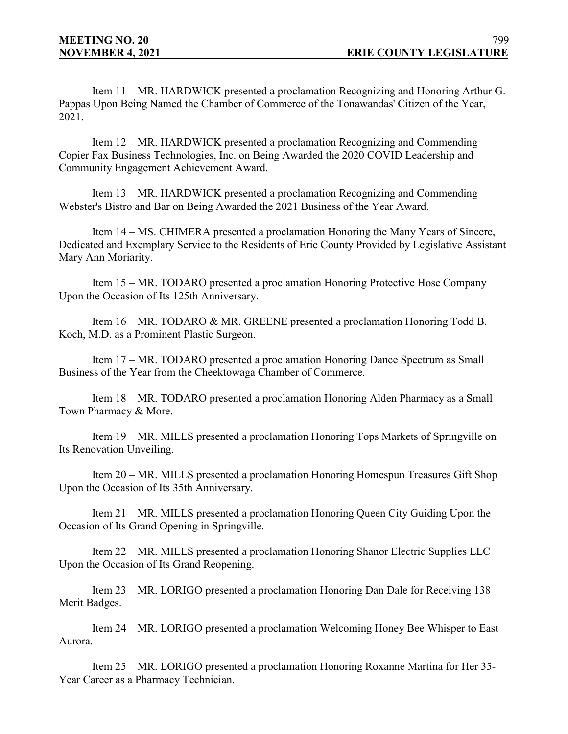Item 11 – MR. HARDWICK presented a proclamation Recognizing and Honoring Arthur G. Pappas Upon Being Named the Chamber of Commerce of the Tonawandas' Citizen of the Year, 2021.

Item 12 – MR. HARDWICK presented a proclamation Recognizing and Commending Copier Fax Business Technologies, Inc. on Being Awarded the 2020 COVID Leadership and Community Engagement Achievement Award.

Item 13 – MR. HARDWICK presented a proclamation Recognizing and Commending Webster's Bistro and Bar on Being Awarded the 2021 Business of the Year Award.

Item 14 – MS. CHIMERA presented a proclamation Honoring the Many Years of Sincere, Dedicated and Exemplary Service to the Residents of Erie County Provided by Legislative Assistant Mary Ann Moriarity.

Item 15 – MR. TODARO presented a proclamation Honoring Protective Hose Company Upon the Occasion of Its 125th Anniversary.

Item 16 – MR. TODARO & MR. GREENE presented a proclamation Honoring Todd B. Koch, M.D. as a Prominent Plastic Surgeon.

Item 17 – MR. TODARO presented a proclamation Honoring Dance Spectrum as Small Business of the Year from the Cheektowaga Chamber of Commerce.

Item 18 – MR. TODARO presented a proclamation Honoring Alden Pharmacy as a Small Town Pharmacy & More.

Item 19 – MR. MILLS presented a proclamation Honoring Tops Markets of Springville on Its Renovation Unveiling.

Item 20 – MR. MILLS presented a proclamation Honoring Homespun Treasures Gift Shop Upon the Occasion of Its 35th Anniversary.

Item 21 – MR. MILLS presented a proclamation Honoring Queen City Guiding Upon the Occasion of Its Grand Opening in Springville.

Item 22 – MR. MILLS presented a proclamation Honoring Shanor Electric Supplies LLC Upon the Occasion of Its Grand Reopening.

Item 23 – MR. LORIGO presented a proclamation Honoring Dan Dale for Receiving 138 Merit Badges.

Item 24 – MR. LORIGO presented a proclamation Welcoming Honey Bee Whisper to East Aurora.

Item 25 – MR. LORIGO presented a proclamation Honoring Roxanne Martina for Her 35- Year Career as a Pharmacy Technician.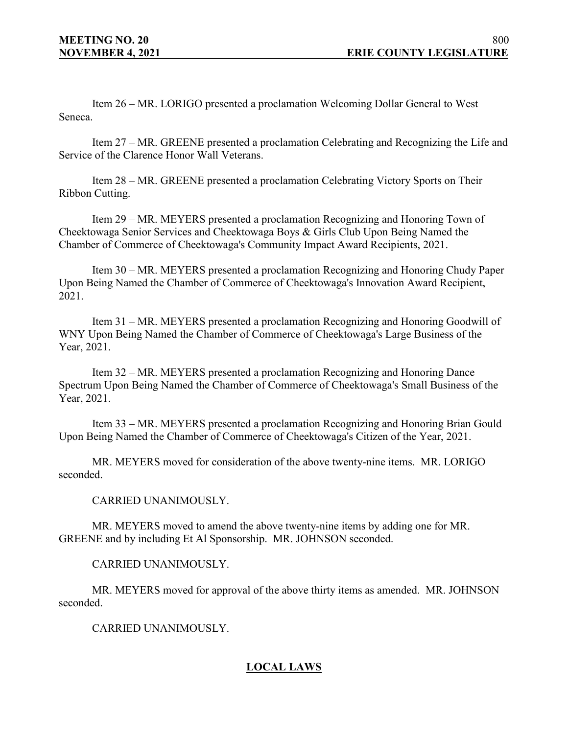Item 26 – MR. LORIGO presented a proclamation Welcoming Dollar General to West Seneca.

Item 27 – MR. GREENE presented a proclamation Celebrating and Recognizing the Life and Service of the Clarence Honor Wall Veterans.

Item 28 – MR. GREENE presented a proclamation Celebrating Victory Sports on Their Ribbon Cutting.

Item 29 – MR. MEYERS presented a proclamation Recognizing and Honoring Town of Cheektowaga Senior Services and Cheektowaga Boys & Girls Club Upon Being Named the Chamber of Commerce of Cheektowaga's Community Impact Award Recipients, 2021.

Item 30 – MR. MEYERS presented a proclamation Recognizing and Honoring Chudy Paper Upon Being Named the Chamber of Commerce of Cheektowaga's Innovation Award Recipient, 2021.

Item 31 – MR. MEYERS presented a proclamation Recognizing and Honoring Goodwill of WNY Upon Being Named the Chamber of Commerce of Cheektowaga's Large Business of the Year, 2021.

Item 32 – MR. MEYERS presented a proclamation Recognizing and Honoring Dance Spectrum Upon Being Named the Chamber of Commerce of Cheektowaga's Small Business of the Year, 2021.

Item 33 – MR. MEYERS presented a proclamation Recognizing and Honoring Brian Gould Upon Being Named the Chamber of Commerce of Cheektowaga's Citizen of the Year, 2021.

MR. MEYERS moved for consideration of the above twenty-nine items. MR. LORIGO seconded.

CARRIED UNANIMOUSLY.

MR. MEYERS moved to amend the above twenty-nine items by adding one for MR. GREENE and by including Et Al Sponsorship. MR. JOHNSON seconded.

CARRIED UNANIMOUSLY.

MR. MEYERS moved for approval of the above thirty items as amended. MR. JOHNSON seconded.

CARRIED UNANIMOUSLY.

# **LOCAL LAWS**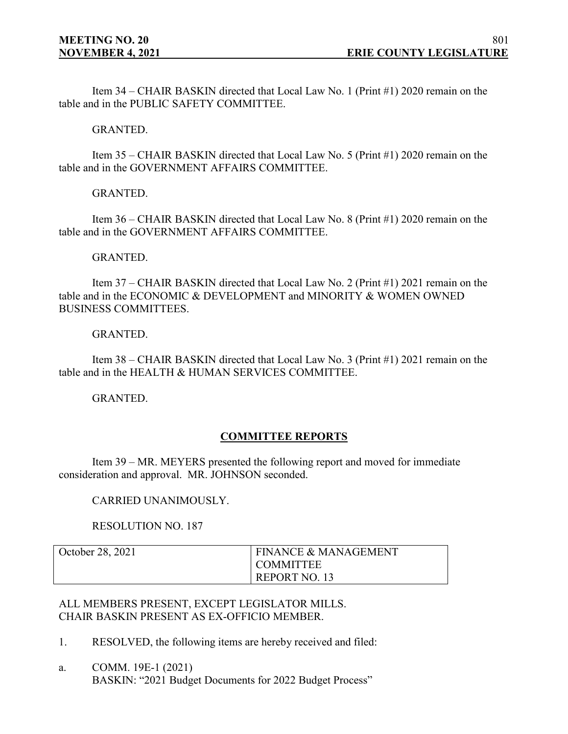Item 34 – CHAIR BASKIN directed that Local Law No. 1 (Print #1) 2020 remain on the table and in the PUBLIC SAFETY COMMITTEE.

GRANTED.

Item 35 – CHAIR BASKIN directed that Local Law No. 5 (Print #1) 2020 remain on the table and in the GOVERNMENT AFFAIRS COMMITTEE.

GRANTED.

Item 36 – CHAIR BASKIN directed that Local Law No. 8 (Print #1) 2020 remain on the table and in the GOVERNMENT AFFAIRS COMMITTEE.

GRANTED.

Item 37 – CHAIR BASKIN directed that Local Law No. 2 (Print #1) 2021 remain on the table and in the ECONOMIC & DEVELOPMENT and MINORITY & WOMEN OWNED BUSINESS COMMITTEES.

GRANTED.

Item 38 – CHAIR BASKIN directed that Local Law No. 3 (Print #1) 2021 remain on the table and in the HEALTH & HUMAN SERVICES COMMITTEE.

GRANTED.

## **COMMITTEE REPORTS**

Item 39 – MR. MEYERS presented the following report and moved for immediate consideration and approval. MR. JOHNSON seconded.

CARRIED UNANIMOUSLY.

RESOLUTION NO. 187

| October 28, 2021 | <b>FINANCE &amp; MANAGEMENT</b> |
|------------------|---------------------------------|
|                  | I COMMITTEE                     |
|                  | REPORT NO. 13                   |

ALL MEMBERS PRESENT, EXCEPT LEGISLATOR MILLS. CHAIR BASKIN PRESENT AS EX-OFFICIO MEMBER.

- 1. RESOLVED, the following items are hereby received and filed:
- a. COMM. 19E-1 (2021) BASKIN: "2021 Budget Documents for 2022 Budget Process"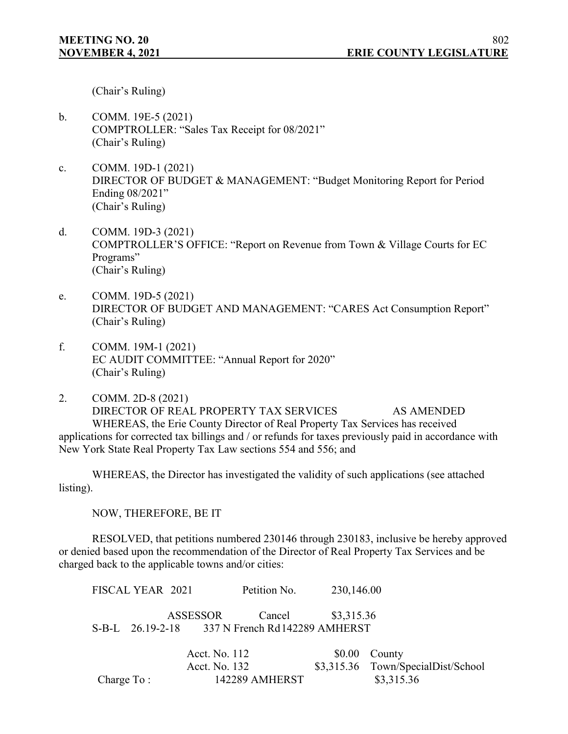(Chair's Ruling)

- b. COMM. 19E-5 (2021) COMPTROLLER: "Sales Tax Receipt for 08/2021" (Chair's Ruling)
- c. COMM. 19D-1 (2021) DIRECTOR OF BUDGET & MANAGEMENT: "Budget Monitoring Report for Period Ending 08/2021" (Chair's Ruling)
- d. COMM. 19D-3 (2021) COMPTROLLER'S OFFICE: "Report on Revenue from Town & Village Courts for EC Programs" (Chair's Ruling)
- e. COMM. 19D-5 (2021) DIRECTOR OF BUDGET AND MANAGEMENT: "CARES Act Consumption Report" (Chair's Ruling)
- f. COMM. 19M-1 (2021) EC AUDIT COMMITTEE: "Annual Report for 2020" (Chair's Ruling)
- 2. COMM. 2D-8 (2021) DIRECTOR OF REAL PROPERTY TAX SERVICES AS AMENDED WHEREAS, the Erie County Director of Real Property Tax Services has received applications for corrected tax billings and / or refunds for taxes previously paid in accordance with New York State Real Property Tax Law sections 554 and 556; and

WHEREAS, the Director has investigated the validity of such applications (see attached listing).

NOW, THEREFORE, BE IT

RESOLVED, that petitions numbered 230146 through 230183, inclusive be hereby approved or denied based upon the recommendation of the Director of Real Property Tax Services and be charged back to the applicable towns and/or cities:

FISCAL YEAR 2021 Petition No. 230,146.00 ASSESSOR Cancel \$3,315.36 S-B-L 26.19-2-18 337 N French Rd142289 AMHERST Acct. No. 112 \$0.00 County

Acct. No. 132 \$3,315.36 Town/SpecialDist/School Charge To : 142289 AMHERST \$3,315.36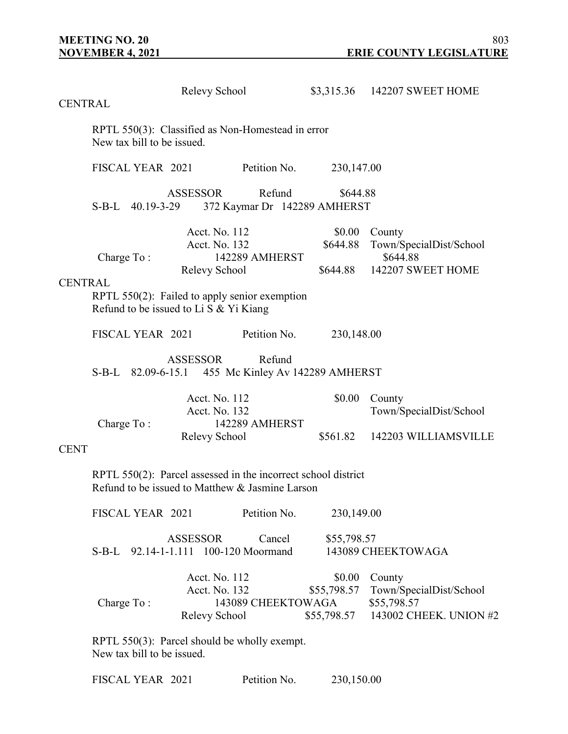|             | Relevy School<br><b>CENTRAL</b>                                                                                  |                                                 |                                        |                                      | \$3,315.36 142207 SWEET HOME                                               |  |  |
|-------------|------------------------------------------------------------------------------------------------------------------|-------------------------------------------------|----------------------------------------|--------------------------------------|----------------------------------------------------------------------------|--|--|
|             | RPTL 550(3): Classified as Non-Homestead in error<br>New tax bill to be issued.                                  |                                                 |                                        |                                      |                                                                            |  |  |
|             | FISCAL YEAR 2021                                                                                                 |                                                 | Petition No.                           | 230,147.00                           |                                                                            |  |  |
|             | S-B-L 40.19-3-29                                                                                                 | <b>ASSESSOR</b>                                 | Refund<br>372 Kaymar Dr 142289 AMHERST | \$644.88                             |                                                                            |  |  |
|             | Charge To:                                                                                                       | Acct. No. 112<br>Acct. No. 132<br>Relevy School | 142289 AMHERST                         | \$0.00<br>\$644.88<br>\$644.88       | County<br>Town/SpecialDist/School<br>\$644.88<br>142207 SWEET HOME         |  |  |
|             | <b>CENTRAL</b><br>RPTL 550(2): Failed to apply senior exemption<br>Refund to be issued to Li S & Yi Kiang        |                                                 |                                        |                                      |                                                                            |  |  |
|             | FISCAL YEAR 2021                                                                                                 |                                                 | Petition No.                           | 230,148.00                           |                                                                            |  |  |
|             | S-B-L 82.09-6-15.1 455 Mc Kinley Av 142289 AMHERST                                                               | <b>ASSESSOR</b>                                 | Refund                                 |                                      |                                                                            |  |  |
|             | Charge To:                                                                                                       | Acct. No. 112<br>Acct. No. 132                  | 142289 AMHERST                         | \$0.00                               | County<br>Town/SpecialDist/School                                          |  |  |
| <b>CENT</b> |                                                                                                                  | Relevy School                                   |                                        | \$561.82                             | 142203 WILLIAMSVILLE                                                       |  |  |
|             | RPTL 550(2): Parcel assessed in the incorrect school district<br>Refund to be issued to Matthew & Jasmine Larson |                                                 |                                        |                                      |                                                                            |  |  |
|             | FISCAL YEAR 2021                                                                                                 |                                                 | Petition No.                           | 230,149.00                           |                                                                            |  |  |
|             | S-B-L 92.14-1-1.111 100-120 Moormand                                                                             | <b>ASSESSOR</b>                                 | Cancel                                 | \$55,798.57                          | 143089 CHEEKTOWAGA                                                         |  |  |
|             | Charge To:                                                                                                       | Acct. No. 112<br>Acct. No. 132<br>Relevy School | 143089 CHEEKTOWAGA                     | \$0.00<br>\$55,798.57<br>\$55,798.57 | County<br>Town/SpecialDist/School<br>\$55,798.57<br>143002 CHEEK. UNION #2 |  |  |
|             | RPTL 550(3): Parcel should be wholly exempt.                                                                     |                                                 |                                        |                                      |                                                                            |  |  |

New tax bill to be issued.

| FISCAL YEAR 2021 |  | Petition No. | 230,150.00 |
|------------------|--|--------------|------------|
|------------------|--|--------------|------------|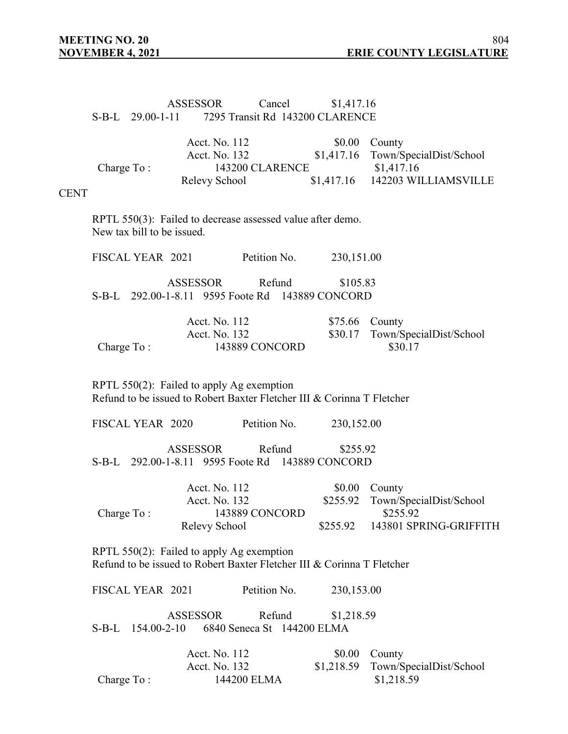## ASSESSOR Cancel \$1,417.16 S-B-L 29.00-1-11 7295 Transit Rd 143200 CLARENCE

|             | Acct. No. 112                                                                            |                 |                            | \$0.00             | County                            |
|-------------|------------------------------------------------------------------------------------------|-----------------|----------------------------|--------------------|-----------------------------------|
|             |                                                                                          | Acct. No. 132   |                            | \$1,417.16         | Town/SpecialDist/School           |
|             | Charge To:                                                                               |                 | 143200 CLARENCE            |                    | \$1,417.16                        |
|             |                                                                                          | Relevy School   |                            | \$1,417.16         | 142203 WILLIAMSVILLE              |
| <b>CENT</b> |                                                                                          |                 |                            |                    |                                   |
|             |                                                                                          |                 |                            |                    |                                   |
|             | RPTL 550(3): Failed to decrease assessed value after demo.<br>New tax bill to be issued. |                 |                            |                    |                                   |
|             |                                                                                          |                 |                            |                    |                                   |
|             | FISCAL YEAR 2021                                                                         |                 | Petition No.               | 230,151.00         |                                   |
|             |                                                                                          |                 |                            |                    |                                   |
|             |                                                                                          | <b>ASSESSOR</b> | Refund                     | \$105.83           |                                   |
|             | S-B-L 292.00-1-8.11 9595 Foote Rd 143889 CONCORD                                         |                 |                            |                    |                                   |
|             |                                                                                          | Acct. No. 112   |                            |                    |                                   |
|             |                                                                                          | Acct. No. 132   |                            | \$75.66<br>\$30.17 | County<br>Town/SpecialDist/School |
|             | Charge To:                                                                               |                 | 143889 CONCORD             |                    | \$30.17                           |
|             |                                                                                          |                 |                            |                    |                                   |
|             |                                                                                          |                 |                            |                    |                                   |
|             | RPTL $550(2)$ : Failed to apply Ag exemption                                             |                 |                            |                    |                                   |
|             | Refund to be issued to Robert Baxter Fletcher III & Corinna T Fletcher                   |                 |                            |                    |                                   |
|             | FISCAL YEAR 2020                                                                         |                 | Petition No.               |                    |                                   |
|             |                                                                                          |                 |                            | 230,152.00         |                                   |
|             |                                                                                          | <b>ASSESSOR</b> | Refund                     | \$255.92           |                                   |
|             | S-B-L 292.00-1-8.11 9595 Foote Rd 143889 CONCORD                                         |                 |                            |                    |                                   |
|             |                                                                                          |                 |                            |                    |                                   |
|             |                                                                                          | Acct. No. 112   |                            | \$0.00             | County                            |
|             |                                                                                          | Acct. No. 132   |                            | \$255.92           | Town/SpecialDist/School           |
|             | Charge To:                                                                               |                 | 143889 CONCORD             |                    | \$255.92                          |
|             |                                                                                          | Relevy School   |                            | \$255.92           | 143801 SPRING-GRIFFITH            |
|             | RPTL $550(2)$ : Failed to apply Ag exemption                                             |                 |                            |                    |                                   |
|             | Refund to be issued to Robert Baxter Fletcher III & Corinna T Fletcher                   |                 |                            |                    |                                   |
|             |                                                                                          |                 |                            |                    |                                   |
|             | FISCAL YEAR 2021                                                                         |                 | Petition No.               | 230,153.00         |                                   |
|             |                                                                                          |                 |                            |                    |                                   |
|             |                                                                                          | <b>ASSESSOR</b> | Refund                     | \$1,218.59         |                                   |
|             | S-B-L 154.00-2-10                                                                        |                 | 6840 Seneca St 144200 ELMA |                    |                                   |
|             |                                                                                          | Acct. No. 112   |                            | \$0.00             | County                            |
|             |                                                                                          | Acct. No. 132   |                            | \$1,218.59         | Town/SpecialDist/School           |
|             | Charge To:                                                                               |                 | 144200 ELMA                |                    | \$1,218.59                        |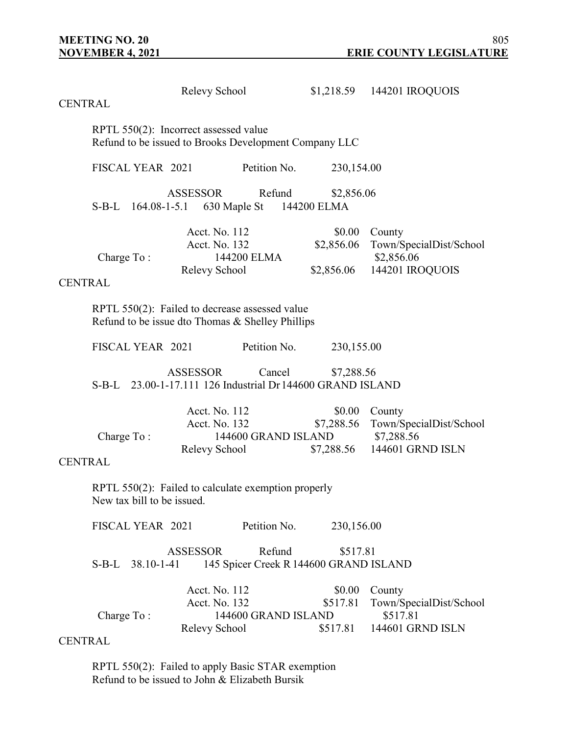| <b>CENTRAL</b> |                                                                                                       | Relevy School                                            |                     |                                                    | \$1,218.59 144201 IROQUOIS                                          |  |  |  |
|----------------|-------------------------------------------------------------------------------------------------------|----------------------------------------------------------|---------------------|----------------------------------------------------|---------------------------------------------------------------------|--|--|--|
|                | RPTL 550(2): Incorrect assessed value<br>Refund to be issued to Brooks Development Company LLC        |                                                          |                     |                                                    |                                                                     |  |  |  |
|                | FISCAL YEAR 2021                                                                                      |                                                          | Petition No.        | 230,154.00                                         |                                                                     |  |  |  |
|                | $S-B-L$                                                                                               | <b>ASSESSOR</b><br>164.08-1-5.1 630 Maple St 144200 ELMA | Refund              | \$2,856.06                                         |                                                                     |  |  |  |
|                | Charge To:                                                                                            | Acct. No. 112<br>Acct. No. 132<br>Relevy School          | 144200 ELMA         | \$0.00<br>\$2,856.06<br>\$2,856.06                 | County<br>Town/SpecialDist/School<br>\$2,856.06<br>144201 IROQUOIS  |  |  |  |
| <b>CENTRAL</b> |                                                                                                       |                                                          |                     |                                                    |                                                                     |  |  |  |
|                | RPTL 550(2): Failed to decrease assessed value<br>Refund to be issue dto Thomas & Shelley Phillips    |                                                          |                     |                                                    |                                                                     |  |  |  |
|                | FISCAL YEAR 2021                                                                                      |                                                          | Petition No.        | 230,155.00                                         |                                                                     |  |  |  |
|                | <b>ASSESSOR</b><br>Cancel<br>\$7,288.56<br>S-B-L 23.00-1-17.111 126 Industrial Dr 144600 GRAND ISLAND |                                                          |                     |                                                    |                                                                     |  |  |  |
| <b>CENTRAL</b> | Charge To:                                                                                            | Acct. No. 112<br>Acct. No. 132<br>Relevy School          | 144600 GRAND ISLAND | \$0.00<br>\$7,288.56<br>\$7,288.56                 | County<br>Town/SpecialDist/School<br>\$7,288.56<br>144601 GRND ISLN |  |  |  |
|                | RPTL 550(2): Failed to calculate exemption properly<br>New tax bill to be issued.                     |                                                          |                     |                                                    |                                                                     |  |  |  |
|                | FISCAL YEAR 2021                                                                                      |                                                          | Petition No.        | 230,156.00                                         |                                                                     |  |  |  |
|                | S-B-L 38.10-1-41                                                                                      | <b>ASSESSOR</b>                                          | Refund              | \$517.81<br>145 Spicer Creek R 144600 GRAND ISLAND |                                                                     |  |  |  |
| <b>CENTRAL</b> | Charge To:                                                                                            | Acct. No. 112<br>Acct. No. 132<br>Relevy School          | 144600 GRAND ISLAND | \$0.00<br>\$517.81<br>\$517.81                     | County<br>Town/SpecialDist/School<br>\$517.81<br>144601 GRND ISLN   |  |  |  |

RPTL 550(2): Failed to apply Basic STAR exemption Refund to be issued to John & Elizabeth Bursik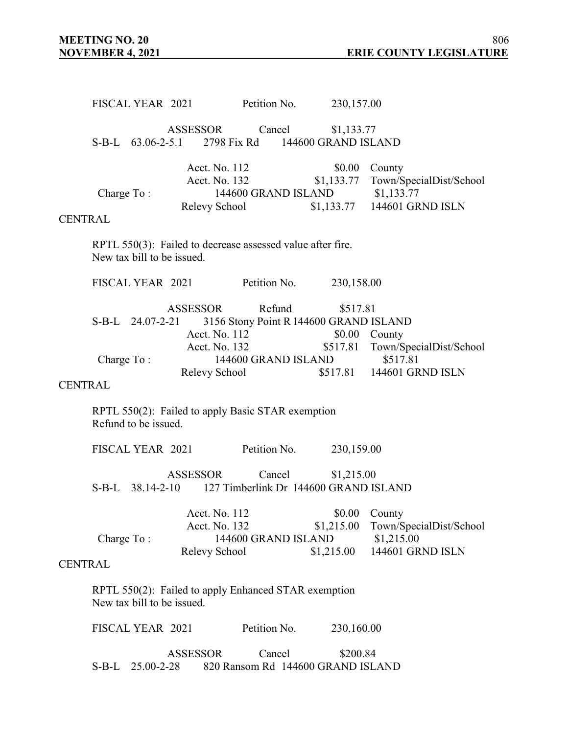FISCAL YEAR 2021 Petition No. 230,157.00 ASSESSOR Cancel \$1,133.77 S-B-L 63.06-2-5.1 2798 Fix Rd 144600 GRAND ISLAND Acct. No. 112 \$0.00 County Acct. No. 132 \$1,133.77 Town/SpecialDist/School Charge To: 144600 GRAND ISLAND \$1,133.77 Relevy School \$1,133.77 144601 GRND ISLN CENTRAL RPTL 550(3): Failed to decrease assessed value after fire. New tax bill to be issued. FISCAL YEAR 2021 Petition No. 230,158.00 ASSESSOR Refund \$517.81 S-B-L 24.07-2-21 3156 Stony Point R144600 GRAND ISLAND Acct. No. 112 \$0.00 County Acct. No. 132 \$517.81 Town/SpecialDist/School Charge To : 144600 GRAND ISLAND \$517.81 Relevy School \$517.81 144601 GRND ISLN CENTRAL RPTL 550(2): Failed to apply Basic STAR exemption Refund to be issued. FISCAL YEAR 2021 Petition No. 230,159.00 ASSESSOR Cancel \$1,215.00 S-B-L 38.14-2-10 127 Timberlink Dr 144600 GRAND ISLAND Acct. No. 112 \$0.00 County Acct. No. 132 \$1,215.00 Town/SpecialDist/School Charge To: 144600 GRAND ISLAND \$1,215.00 Relevy School \$1,215.00 144601 GRND ISLN **CENTRAL** RPTL 550(2): Failed to apply Enhanced STAR exemption New tax bill to be issued. FISCAL YEAR 2021 Petition No. 230,160.00 ASSESSOR Cancel \$200.84 S-B-L 25.00-2-28 820 Ransom Rd 144600 GRAND ISLAND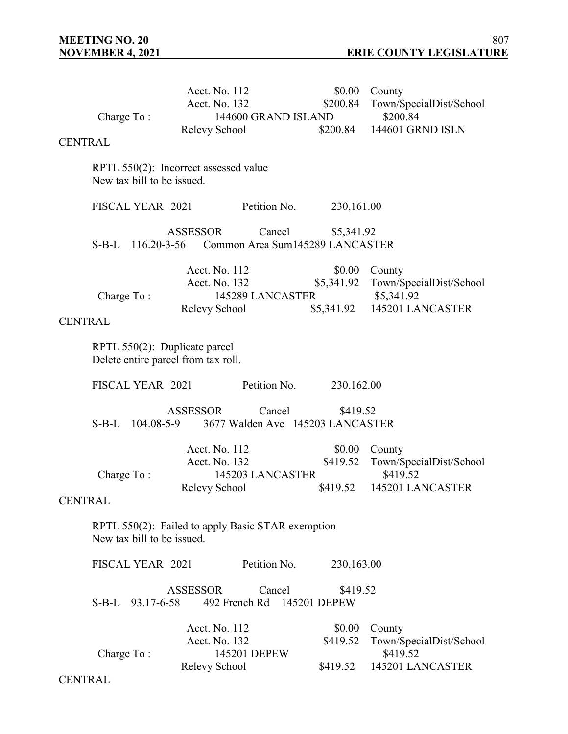|                | Charge To:                                                                      | Acct. No. 112<br>Acct. No. 132<br>Relevy School | 144600 GRAND ISLAND                        | \$0.00<br>\$200.84<br>\$200.84 | County<br>Town/SpecialDist/School<br>\$200.84<br>144601 GRND ISLN |
|----------------|---------------------------------------------------------------------------------|-------------------------------------------------|--------------------------------------------|--------------------------------|-------------------------------------------------------------------|
| <b>CENTRAL</b> |                                                                                 |                                                 |                                            |                                |                                                                   |
|                | RPTL 550(2): Incorrect assessed value<br>New tax bill to be issued.             |                                                 |                                            |                                |                                                                   |
|                | FISCAL YEAR 2021                                                                |                                                 | Petition No.                               | 230,161.00                     |                                                                   |
|                | S-B-L 116.20-3-56 Common Area Sum145289 LANCASTER                               | <b>ASSESSOR</b>                                 | Cancel                                     | \$5,341.92                     |                                                                   |
|                |                                                                                 | Acct. No. 112                                   |                                            | \$0.00                         | County                                                            |
|                | Charge To:                                                                      | Acct. No. 132                                   | 145289 LANCASTER                           | \$5,341.92                     | Town/SpecialDist/School<br>\$5,341.92                             |
|                |                                                                                 | Relevy School                                   |                                            | \$5,341.92                     | 145201 LANCASTER                                                  |
| <b>CENTRAL</b> |                                                                                 |                                                 |                                            |                                |                                                                   |
|                | RPTL 550(2): Duplicate parcel<br>Delete entire parcel from tax roll.            |                                                 |                                            |                                |                                                                   |
|                | FISCAL YEAR 2021                                                                |                                                 | Petition No.                               | 230,162.00                     |                                                                   |
|                | S-B-L 104.08-5-9                                                                | <b>ASSESSOR</b>                                 | Cancel<br>3677 Walden Ave 145203 LANCASTER | \$419.52                       |                                                                   |
|                | Charge To:                                                                      | Acct. No. 112<br>Acct. No. 132                  | 145203 LANCASTER                           | \$0.00<br>\$419.52             | County<br>Town/SpecialDist/School<br>\$419.52                     |
| <b>CENTRAL</b> |                                                                                 | Relevy School                                   |                                            | \$419.52                       | 145201 LANCASTER                                                  |
|                | RPTL 550(2): Failed to apply Basic STAR exemption<br>New tax bill to be issued. |                                                 |                                            |                                |                                                                   |
|                | FISCAL YEAR 2021                                                                |                                                 | Petition No.                               | 230,163.00                     |                                                                   |
|                | S-B-L 93.17-6-58                                                                | <b>ASSESSOR</b>                                 | Cancel<br>492 French Rd 145201 DEPEW       | \$419.52                       |                                                                   |
|                |                                                                                 | Acct. No. 112                                   |                                            | \$0.00                         | County                                                            |
|                | Charge To:                                                                      | Acct. No. 132                                   | 145201 DEPEW                               | \$419.52                       | Town/SpecialDist/School<br>\$419.52                               |
|                |                                                                                 | Relevy School                                   |                                            | \$419.52                       | 145201 LANCASTER                                                  |

**CENTRAL**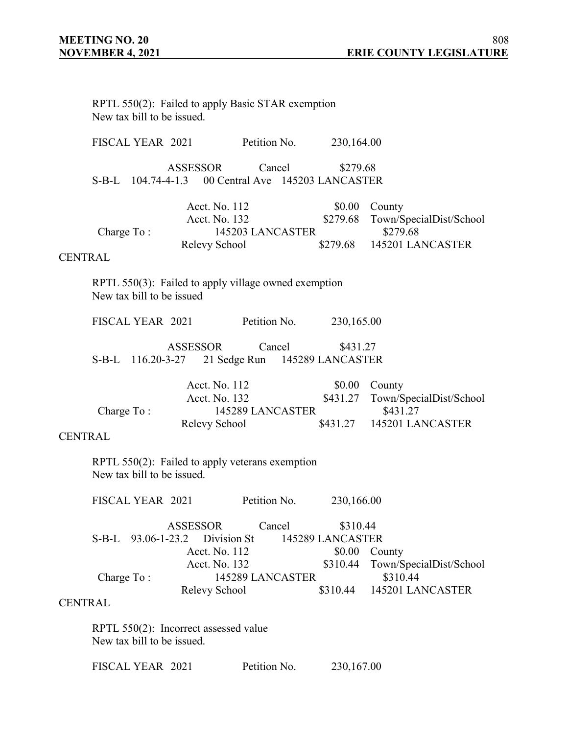|                | New tax bill to be issued. |                                                 | RPTL 550(2): Failed to apply Basic STAR exemption            |                                        |                                                                            |
|----------------|----------------------------|-------------------------------------------------|--------------------------------------------------------------|----------------------------------------|----------------------------------------------------------------------------|
|                | FISCAL YEAR 2021           |                                                 | Petition No.                                                 | 230,164.00                             |                                                                            |
|                |                            | <b>ASSESSOR</b>                                 | Cancel<br>S-B-L 104.74-4-1.3 00 Central Ave 145203 LANCASTER | \$279.68                               |                                                                            |
| <b>CENTRAL</b> | Charge To:                 | Acct. No. 112<br>Acct. No. 132<br>Relevy School | 145203 LANCASTER                                             | \$0.00<br>\$279.68<br>\$279.68         | County<br>Town/SpecialDist/School<br>\$279.68<br>145201 LANCASTER          |
|                | New tax bill to be issued  |                                                 | RPTL 550(3): Failed to apply village owned exemption         |                                        |                                                                            |
|                | FISCAL YEAR 2021           |                                                 | Petition No.                                                 | 230,165.00                             |                                                                            |
|                | S-B-L 116.20-3-27          | ASSESSOR                                        | Cancel<br>21 Sedge Run 145289 LANCASTER                      | \$431.27                               |                                                                            |
| <b>CENTRAL</b> | Charge To:                 | Acct. No. 112<br>Acct. No. 132<br>Relevy School | 145289 LANCASTER                                             | \$0.00<br>\$431.27                     | County<br>Town/SpecialDist/School<br>\$431.27<br>\$431.27 145201 LANCASTER |
|                | New tax bill to be issued. |                                                 | RPTL 550(2): Failed to apply veterans exemption              |                                        |                                                                            |
|                | FISCAL YEAR 2021           |                                                 | Petition No.                                                 | 230,166.00                             |                                                                            |
|                | S-B-L 93.06-1-23.2         | ASSESSOR<br>Acct. No. 112                       | Cancel<br>Division St                                        | \$310.44<br>145289 LANCASTER<br>\$0.00 | County                                                                     |
| <b>CENTRAL</b> | Charge To:                 | Acct. No. 132<br>Relevy School                  | 145289 LANCASTER                                             | \$310.44<br>\$310.44                   | Town/SpecialDist/School<br>\$310.44<br>145201 LANCASTER                    |
|                | New tax bill to be issued. | RPTL 550(2): Incorrect assessed value           |                                                              |                                        |                                                                            |
|                | FISCAL YEAR 2021           |                                                 | Petition No.                                                 | 230,167.00                             |                                                                            |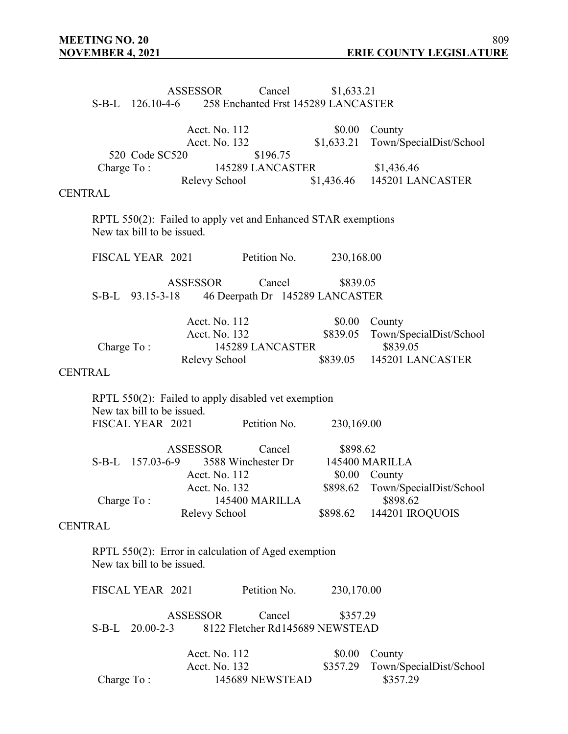|                |            |                                                | <b>ASSESSOR</b> |                                                 | Cancel                                                              | \$1,633.21<br>S-B-L 126.10-4-6 258 Enchanted Frst 145289 LANCASTER |                                                                   |
|----------------|------------|------------------------------------------------|-----------------|-------------------------------------------------|---------------------------------------------------------------------|--------------------------------------------------------------------|-------------------------------------------------------------------|
|                |            | 520 Code SC520                                 |                 | Acct. No. 112                                   | Acct. No. 132<br>\$196.75                                           | \$0.00<br>\$1,633.21                                               | County<br>Town/SpecialDist/School                                 |
| <b>CENTRAL</b> | Charge To: |                                                |                 |                                                 | 145289 LANCASTER<br>Relevy School                                   |                                                                    | \$1,436.46<br>\$1,436.46 145201 LANCASTER                         |
|                |            | New tax bill to be issued.                     |                 |                                                 |                                                                     | RPTL 550(2): Failed to apply vet and Enhanced STAR exemptions      |                                                                   |
|                |            | FISCAL YEAR 2021                               |                 |                                                 | Petition No.                                                        | 230,168.00                                                         |                                                                   |
|                |            | S-B-L 93.15-3-18                               | <b>ASSESSOR</b> |                                                 | Cancel                                                              | \$839.05<br>46 Deerpath Dr 145289 LANCASTER                        |                                                                   |
|                | Charge To: |                                                |                 | Acct. No. 112<br>Acct. No. 132<br>Relevy School | 145289 LANCASTER                                                    | \$0.00<br>\$839.05<br>\$839.05                                     | County<br>Town/SpecialDist/School<br>\$839.05<br>145201 LANCASTER |
| <b>CENTRAL</b> |            |                                                |                 |                                                 |                                                                     |                                                                    |                                                                   |
|                |            | New tax bill to be issued.<br>FISCAL YEAR 2021 |                 |                                                 | RPTL 550(2): Failed to apply disabled vet exemption<br>Petition No. | 230,169.00                                                         |                                                                   |
|                |            | S-B-L 157.03-6-9                               | <b>ASSESSOR</b> | Acct. No. 112<br>Acct. No. 132                  | Cancel<br>3588 Winchester Dr                                        | \$898.62<br>\$0.00                                                 | 145400 MARILLA<br>County<br>\$898.62 Town/SpecialDist/School      |
|                | Charge To: |                                                |                 |                                                 | 145400 MARILLA                                                      |                                                                    | \$898.62                                                          |
| <b>CENTRAL</b> |            |                                                |                 | Relevy School                                   |                                                                     | \$898.62                                                           | 144201 IROQUOIS                                                   |
|                |            | New tax bill to be issued.                     |                 |                                                 | RPTL 550(2): Error in calculation of Aged exemption                 |                                                                    |                                                                   |
|                |            | FISCAL YEAR 2021                               |                 |                                                 | Petition No.                                                        | 230,170.00                                                         |                                                                   |
|                | $S-B-L$    | $20.00 - 2 - 3$                                | <b>ASSESSOR</b> |                                                 | Cancel                                                              | \$357.29<br>8122 Fletcher Rd145689 NEWSTEAD                        |                                                                   |
|                | Charge To: |                                                |                 | Acct. No. 112<br>Acct. No. 132                  | 145689 NEWSTEAD                                                     | \$0.00<br>\$357.29                                                 | County<br>Town/SpecialDist/School<br>\$357.29                     |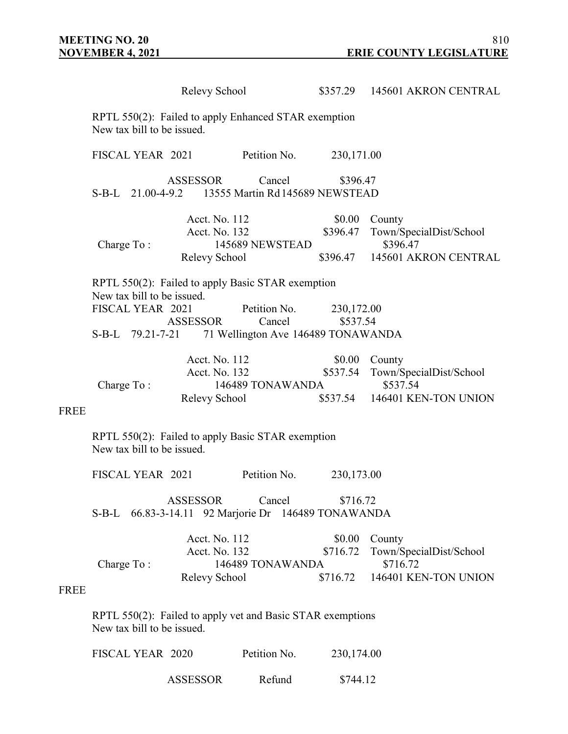|             |                                                                                    |                                                                                          | Relevy School                                   |                                                                                                                                    |                                | \$357.29 145601 AKRON CENTRAL                                                                  |  |  |  |  |
|-------------|------------------------------------------------------------------------------------|------------------------------------------------------------------------------------------|-------------------------------------------------|------------------------------------------------------------------------------------------------------------------------------------|--------------------------------|------------------------------------------------------------------------------------------------|--|--|--|--|
|             | RPTL 550(2): Failed to apply Enhanced STAR exemption<br>New tax bill to be issued. |                                                                                          |                                                 |                                                                                                                                    |                                |                                                                                                |  |  |  |  |
|             | FISCAL YEAR 2021                                                                   |                                                                                          |                                                 | Petition No.                                                                                                                       | 230,171.00                     |                                                                                                |  |  |  |  |
|             |                                                                                    |                                                                                          | ASSESSOR                                        | Cancel<br>S-B-L 21.00-4-9.2 13555 Martin Rd 145689 NEWSTEAD                                                                        | \$396.47                       |                                                                                                |  |  |  |  |
|             | Charge To:                                                                         |                                                                                          | Acct. No. 112<br>Acct. No. 132<br>Relevy School | 145689 NEWSTEAD                                                                                                                    | \$396.47                       | \$0.00 County<br>Town/SpecialDist/School<br>\$396.47<br>\$396.47 145601 AKRON CENTRAL          |  |  |  |  |
|             | New tax bill to be issued.<br>FISCAL YEAR 2021                                     |                                                                                          | ASSESSOR                                        | RPTL 550(2): Failed to apply Basic STAR exemption<br>Petition No.<br>Cancel<br>S-B-L 79.21-7-21 71 Wellington Ave 146489 TONAWANDA | 230,172.00<br>\$537.54         |                                                                                                |  |  |  |  |
| <b>FREE</b> | Charge To:                                                                         |                                                                                          | Acct. No. 112<br>Acct. No. 132<br>Relevy School | 146489 TONAWANDA                                                                                                                   |                                | \$0.00 County<br>\$537.54 Town/SpecialDist/School<br>\$537.54<br>\$537.54 146401 KEN-TON UNION |  |  |  |  |
|             | New tax bill to be issued.                                                         |                                                                                          |                                                 | RPTL 550(2): Failed to apply Basic STAR exemption                                                                                  |                                |                                                                                                |  |  |  |  |
|             | FISCAL YEAR 2021                                                                   |                                                                                          |                                                 | Petition No.                                                                                                                       | 230,173.00                     |                                                                                                |  |  |  |  |
|             |                                                                                    |                                                                                          | <b>ASSESSOR</b>                                 | Cancel<br>S-B-L 66.83-3-14.11 92 Marjorie Dr 146489 TONAWANDA                                                                      | \$716.72                       |                                                                                                |  |  |  |  |
| <b>FREE</b> | Charge To:                                                                         |                                                                                          | Acct. No. 112<br>Acct. No. 132<br>Relevy School | 146489 TONAWANDA                                                                                                                   | \$0.00<br>\$716.72<br>\$716.72 | County<br>Town/SpecialDist/School<br>\$716.72<br>146401 KEN-TON UNION                          |  |  |  |  |
|             |                                                                                    | RPTL 550(2): Failed to apply vet and Basic STAR exemptions<br>New tax bill to be issued. |                                                 |                                                                                                                                    |                                |                                                                                                |  |  |  |  |
|             | FISCAL YEAR 2020                                                                   |                                                                                          |                                                 | Petition No.                                                                                                                       | 230,174.00                     |                                                                                                |  |  |  |  |

ASSESSOR Refund \$744.12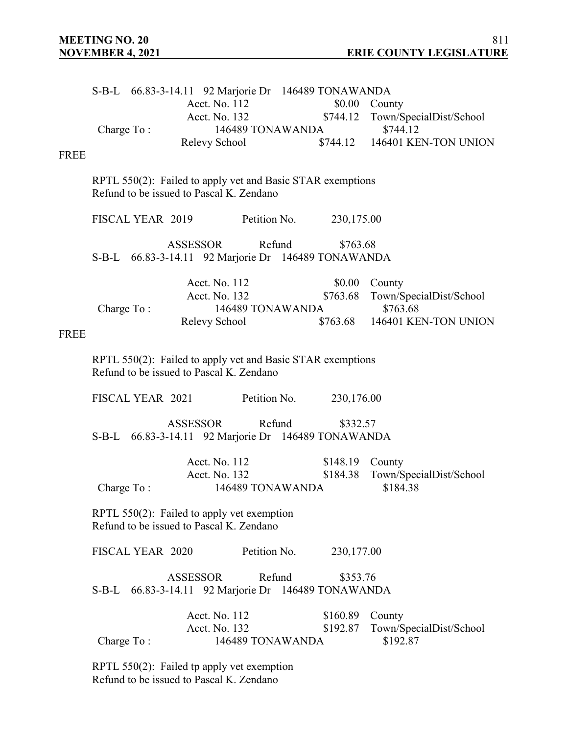|             |                  |                                                                                        | S-B-L 66.83-3-14.11 92 Marjorie Dr 146489 TONAWANDA           |                    |                                                   |
|-------------|------------------|----------------------------------------------------------------------------------------|---------------------------------------------------------------|--------------------|---------------------------------------------------|
|             |                  | Acct. No. 112<br>Acct. No. 132                                                         |                                                               |                    | \$0.00 County<br>\$744.12 Town/SpecialDist/School |
|             | Charge To:       |                                                                                        | 146489 TONAWANDA                                              |                    | \$744.12                                          |
|             |                  | Relevy School                                                                          |                                                               |                    | \$744.12 146401 KEN-TON UNION                     |
| <b>FREE</b> |                  |                                                                                        |                                                               |                    |                                                   |
|             |                  | Refund to be issued to Pascal K. Zendano                                               | RPTL 550(2): Failed to apply vet and Basic STAR exemptions    |                    |                                                   |
|             | FISCAL YEAR 2019 |                                                                                        | Petition No.                                                  | 230,175.00         |                                                   |
|             |                  | ASSESSOR                                                                               | Refund<br>S-B-L 66.83-3-14.11 92 Marjorie Dr 146489 TONAWANDA | \$763.68           |                                                   |
|             |                  |                                                                                        |                                                               |                    |                                                   |
|             |                  | Acct. No. 112<br>Acct. No. 132                                                         |                                                               | \$0.00<br>\$763.68 | County<br>Town/SpecialDist/School                 |
|             | Charge To:       |                                                                                        | 146489 TONAWANDA                                              |                    | \$763.68                                          |
| <b>FREE</b> |                  | Relevy School                                                                          |                                                               |                    | \$763.68 146401 KEN-TON UNION                     |
|             |                  |                                                                                        |                                                               |                    |                                                   |
|             |                  | Refund to be issued to Pascal K. Zendano                                               | RPTL 550(2): Failed to apply vet and Basic STAR exemptions    |                    |                                                   |
|             | FISCAL YEAR 2021 |                                                                                        | Petition No.                                                  | 230,176.00         |                                                   |
|             |                  | <b>ASSESSOR</b>                                                                        | Refund<br>S-B-L 66.83-3-14.11 92 Marjorie Dr 146489 TONAWANDA | \$332.57           |                                                   |
|             |                  | Acct. No. 112                                                                          |                                                               | \$148.19           | County                                            |
|             | Charge To:       | Acct. No. 132                                                                          | 146489 TONAWANDA                                              | \$184.38           | Town/SpecialDist/School<br>\$184.38               |
|             |                  | RPTL 550(2): Failed to apply vet exemption<br>Refund to be issued to Pascal K. Zendano |                                                               |                    |                                                   |
|             | FISCAL YEAR 2020 |                                                                                        | Petition No.                                                  | 230,177.00         |                                                   |
|             | $S-B-L$          | <b>ASSESSOR</b>                                                                        | Refund<br>66.83-3-14.11 92 Marjorie Dr 146489 TONAWANDA       | \$353.76           |                                                   |
|             |                  | Acct. No. 112                                                                          |                                                               | \$160.89           | County                                            |
|             |                  | Acct. No. 132                                                                          |                                                               | \$192.87           | Town/SpecialDist/School                           |
|             | Charge To:       |                                                                                        | 146489 TONAWANDA                                              |                    | \$192.87                                          |

RPTL 550(2): Failed tp apply vet exemption Refund to be issued to Pascal K. Zendano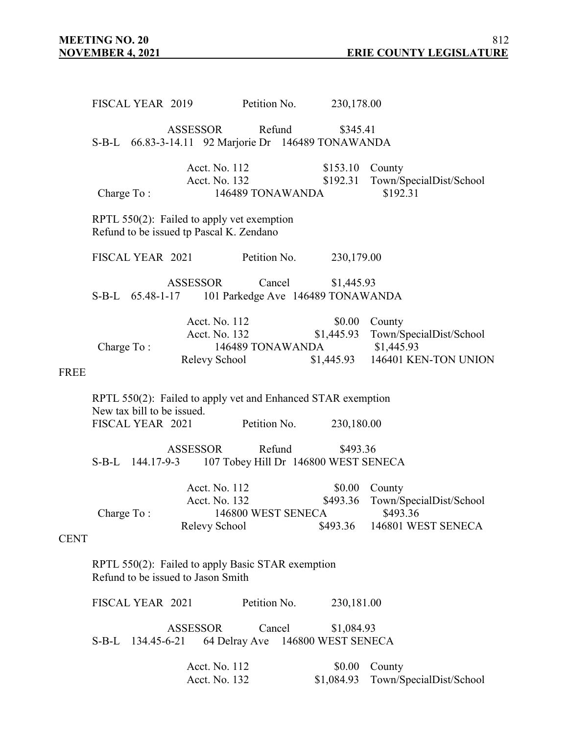FISCAL YEAR 2019 Petition No. 230,178.00 ASSESSOR Refund \$345.41 S-B-L 66.83-3-14.11 92 Marjorie Dr 146489 TONAWANDA Acct. No. 112 \$153.10 County \$192.31 Town/SpecialDist/School Charge To : 146489 TONAWANDA \$192.31 RPTL 550(2): Failed to apply vet exemption Refund to be issued tp Pascal K. Zendano FISCAL YEAR 2021 Petition No. 230,179.00 ASSESSOR Cancel \$1,445.93 S-B-L 65.48-1-17 101 Parkedge Ave 146489 TONAWANDA Acct. No. 112 \$0.00 County Acct. No. 132 \$1,445.93 Town/SpecialDist/School Charge To : 146489 TONAWANDA \$1,445.93 Relevy School \$1,445.93 146401 KEN-TON UNION FREE RPTL 550(2): Failed to apply vet and Enhanced STAR exemption New tax bill to be issued. FISCAL YEAR 2021 Petition No. 230,180.00 ASSESSOR Refund \$493.36 S-B-L 144.17-9-3 107 Tobey Hill Dr 146800 WEST SENECA Acct. No. 112 \$0.00 County Acct. No. 132 \$493.36 Town/SpecialDist/School Charge To : 146800 WEST SENECA \$493.36 Relevy School \$493.36 146801 WEST SENECA **CENT** RPTL 550(2): Failed to apply Basic STAR exemption Refund to be issued to Jason Smith FISCAL YEAR 2021 Petition No. 230,181.00 ASSESSOR Cancel \$1,084.93 S-B-L 134.45-6-21 64 Delray Ave 146800 WEST SENECA Acct. No. 112 \$0.00 County Acct. No. 132 \$1,084.93 Town/SpecialDist/School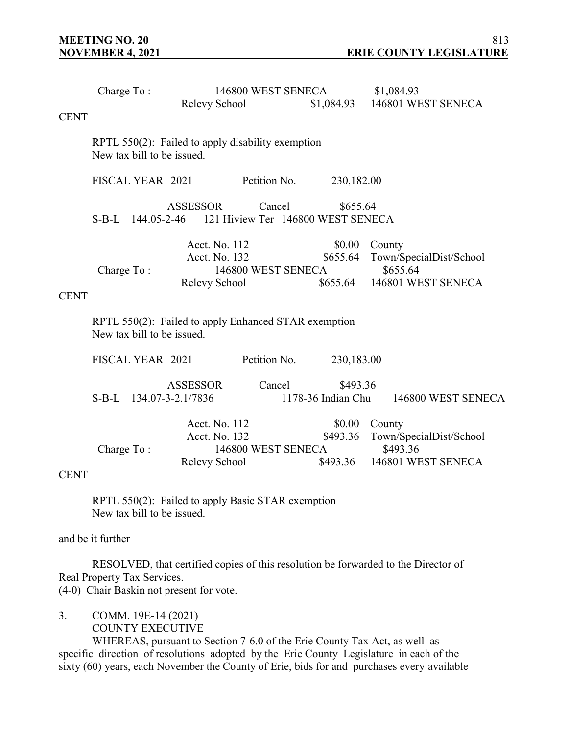|             | Charge To:                                                                         |                            |                                            | 146800 WEST SENECA                                            |                                | \$1,084.93                                    |  |  |  |
|-------------|------------------------------------------------------------------------------------|----------------------------|--------------------------------------------|---------------------------------------------------------------|--------------------------------|-----------------------------------------------|--|--|--|
|             |                                                                                    |                            | Relevy School                              |                                                               | \$1,084.93                     | 146801 WEST SENECA                            |  |  |  |
| <b>CENT</b> |                                                                                    |                            |                                            |                                                               |                                |                                               |  |  |  |
|             |                                                                                    | New tax bill to be issued. |                                            | RPTL 550(2): Failed to apply disability exemption             |                                |                                               |  |  |  |
|             |                                                                                    | FISCAL YEAR 2021           |                                            | Petition No.                                                  | 230,182.00                     |                                               |  |  |  |
|             |                                                                                    |                            | <b>ASSESSOR</b>                            | Cancel<br>S-B-L 144.05-2-46 121 Hiview Ter 146800 WEST SENECA | \$655.64                       |                                               |  |  |  |
|             | Charge To:                                                                         |                            | Acct. No. 112<br>Acct. No. 132             | 146800 WEST SENECA                                            | \$0.00<br>\$655.64             | County<br>Town/SpecialDist/School<br>\$655.64 |  |  |  |
| <b>CENT</b> |                                                                                    |                            | Relevy School                              |                                                               | \$655.64                       | 146801 WEST SENECA                            |  |  |  |
|             | RPTL 550(2): Failed to apply Enhanced STAR exemption<br>New tax bill to be issued. |                            |                                            |                                                               |                                |                                               |  |  |  |
|             |                                                                                    | FISCAL YEAR 2021           |                                            | Petition No.                                                  | 230,183.00                     |                                               |  |  |  |
|             |                                                                                    |                            | <b>ASSESSOR</b><br>S-B-L 134.07-3-2.1/7836 | Cancel                                                        | \$493.36<br>1178-36 Indian Chu | 146800 WEST SENECA                            |  |  |  |
|             | Charge To:                                                                         |                            | Acct. No. 112<br>Acct. No. 132             | 146800 WEST SENECA                                            | \$0.00<br>\$493.36             | County<br>Town/SpecialDist/School<br>\$493.36 |  |  |  |
| <b>CENT</b> |                                                                                    |                            | Relevy School                              |                                                               | \$493.36                       | 146801 WEST SENECA                            |  |  |  |
|             |                                                                                    | New tax bill to be issued. |                                            | RPTL 550(2): Failed to apply Basic STAR exemption             |                                |                                               |  |  |  |

and be it further

RESOLVED, that certified copies of this resolution be forwarded to the Director of Real Property Tax Services. (4-0) Chair Baskin not present for vote.

- 
- 3. COMM. 19E-14 (2021) COUNTY EXECUTIVE

WHEREAS, pursuant to Section 7-6.0 of the Erie County Tax Act, as well as specific direction of resolutions adopted by the Erie County Legislature in each of the sixty (60) years, each November the County of Erie, bids for and purchases every available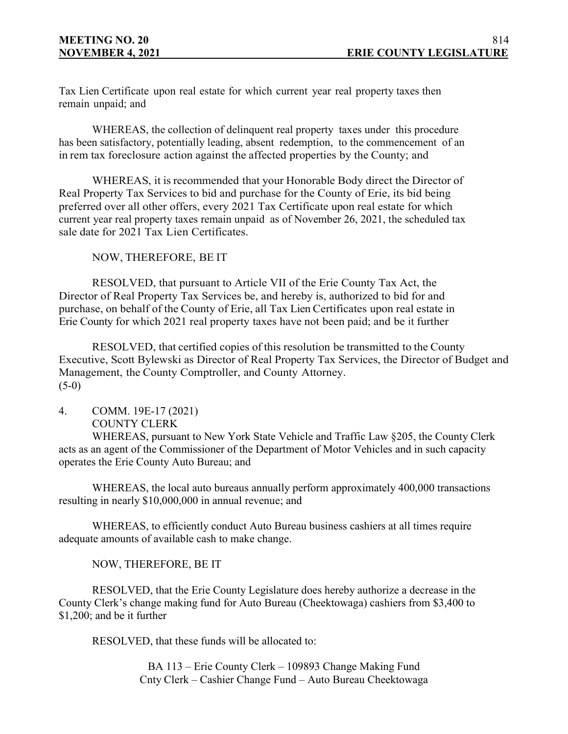Tax Lien Certificate upon real estate for which current year real property taxes then remain unpaid; and

WHEREAS, the collection of delinquent real property taxes under this procedure has been satisfactory, potentially leading, absent redemption, to the commencement of an in rem tax foreclosure action against the affected properties by the County; and

WHEREAS, it is recommended that your Honorable Body direct the Director of Real Property Tax Services to bid and purchase for the County of Erie, its bid being preferred over all other offers, every 2021 Tax Certificate upon real estate for which current year real property taxes remain unpaid as of November 26, 2021, the scheduled tax sale date for 2021 Tax Lien Certificates.

NOW, THEREFORE, BE IT

RESOLVED, that pursuant to Article VII of the Erie County Tax Act, the Director of Real Property Tax Services be, and hereby is, authorized to bid for and purchase, on behalf of the County of Erie, all Tax Lien Certificates upon real estate in Erie County for which 2021 real property taxes have not been paid; and be it further

RESOLVED, that certified copies of this resolution be transmitted to the County Executive, Scott Bylewski as Director of Real Property Tax Services, the Director of Budget and Management, the County Comptroller, and County Attorney.  $(5-0)$ 

## 4. COMM. 19E-17 (2021) COUNTY CLERK

WHEREAS, pursuant to New York State Vehicle and Traffic Law §205, the County Clerk acts as an agent of the Commissioner of the Department of Motor Vehicles and in such capacity operates the Erie County Auto Bureau; and

WHEREAS, the local auto bureaus annually perform approximately 400,000 transactions resulting in nearly \$10,000,000 in annual revenue; and

WHEREAS, to efficiently conduct Auto Bureau business cashiers at all times require adequate amounts of available cash to make change.

NOW, THEREFORE, BE IT

RESOLVED, that the Erie County Legislature does hereby authorize a decrease in the County Clerk's change making fund for Auto Bureau (Cheektowaga) cashiers from \$3,400 to \$1,200; and be it further

RESOLVED, that these funds will be allocated to:

BA 113 – Erie County Clerk – 109893 Change Making Fund Cnty Clerk – Cashier Change Fund – Auto Bureau Cheektowaga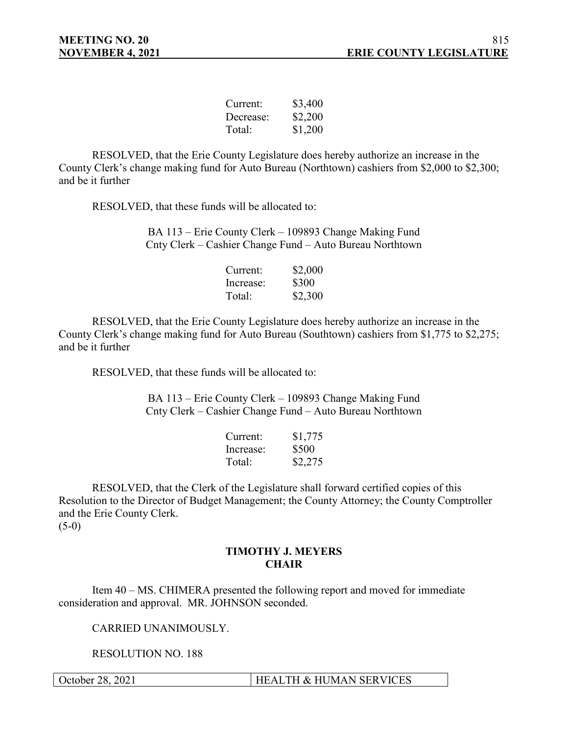| Current:  | \$3,400 |
|-----------|---------|
| Decrease: | \$2,200 |
| Total:    | \$1,200 |

RESOLVED, that the Erie County Legislature does hereby authorize an increase in the County Clerk's change making fund for Auto Bureau (Northtown) cashiers from \$2,000 to \$2,300; and be it further

RESOLVED, that these funds will be allocated to:

BA 113 – Erie County Clerk – 109893 Change Making Fund Cnty Clerk – Cashier Change Fund – Auto Bureau Northtown

| Current:  | \$2,000 |
|-----------|---------|
| Increase: | \$300   |
| Total:    | \$2,300 |

RESOLVED, that the Erie County Legislature does hereby authorize an increase in the County Clerk's change making fund for Auto Bureau (Southtown) cashiers from \$1,775 to \$2,275; and be it further

RESOLVED, that these funds will be allocated to:

BA 113 – Erie County Clerk – 109893 Change Making Fund Cnty Clerk – Cashier Change Fund – Auto Bureau Northtown

| Current:  | \$1,775 |
|-----------|---------|
| Increase: | \$500   |
| Total:    | \$2,275 |

RESOLVED, that the Clerk of the Legislature shall forward certified copies of this Resolution to the Director of Budget Management; the County Attorney; the County Comptroller and the Erie County Clerk.

 $(5-0)$ 

## **TIMOTHY J. MEYERS CHAIR**

Item 40 – MS. CHIMERA presented the following report and moved for immediate consideration and approval. MR. JOHNSON seconded.

CARRIED UNANIMOUSLY.

RESOLUTION NO. 188

October 28, 2021 | HEALTH & HUMAN SERVICES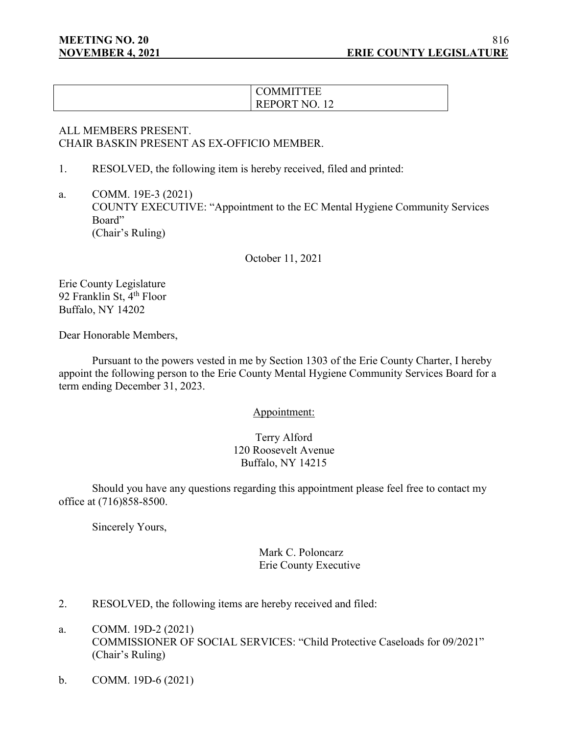# **COMMITTEE** REPORT NO. 12

## ALL MEMBERS PRESENT. CHAIR BASKIN PRESENT AS EX-OFFICIO MEMBER.

1. RESOLVED, the following item is hereby received, filed and printed:

a. COMM. 19E-3 (2021) COUNTY EXECUTIVE: "Appointment to the EC Mental Hygiene Community Services Board" (Chair's Ruling)

October 11, 2021

Erie County Legislature 92 Franklin St, 4<sup>th</sup> Floor Buffalo, NY 14202

Dear Honorable Members,

Pursuant to the powers vested in me by Section 1303 of the Erie County Charter, I hereby appoint the following person to the Erie County Mental Hygiene Community Services Board for a term ending December 31, 2023.

Appointment:

Terry Alford 120 Roosevelt Avenue Buffalo, NY 14215

Should you have any questions regarding this appointment please feel free to contact my office at (716)858-8500.

Sincerely Yours,

Mark C. Poloncarz Erie County Executive

- 2. RESOLVED, the following items are hereby received and filed:
- a. COMM. 19D-2 (2021) COMMISSIONER OF SOCIAL SERVICES: "Child Protective Caseloads for 09/2021" (Chair's Ruling)
- b. COMM. 19D-6 (2021)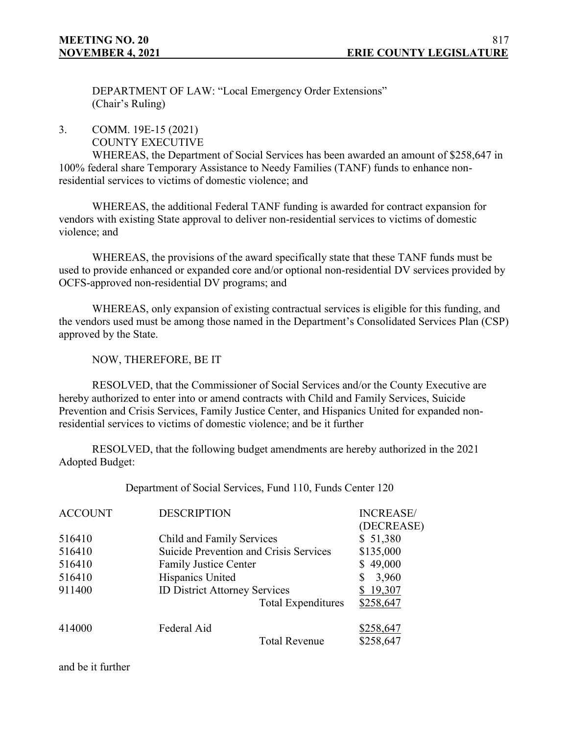DEPARTMENT OF LAW: "Local Emergency Order Extensions" (Chair's Ruling)

3. COMM. 19E-15 (2021)

COUNTY EXECUTIVE

WHEREAS, the Department of Social Services has been awarded an amount of \$258,647 in 100% federal share Temporary Assistance to Needy Families (TANF) funds to enhance nonresidential services to victims of domestic violence; and

WHEREAS, the additional Federal TANF funding is awarded for contract expansion for vendors with existing State approval to deliver non-residential services to victims of domestic violence; and

WHEREAS, the provisions of the award specifically state that these TANF funds must be used to provide enhanced or expanded core and/or optional non-residential DV services provided by OCFS-approved non-residential DV programs; and

WHEREAS, only expansion of existing contractual services is eligible for this funding, and the vendors used must be among those named in the Department's Consolidated Services Plan (CSP) approved by the State.

NOW, THEREFORE, BE IT

RESOLVED, that the Commissioner of Social Services and/or the County Executive are hereby authorized to enter into or amend contracts with Child and Family Services, Suicide Prevention and Crisis Services, Family Justice Center, and Hispanics United for expanded nonresidential services to victims of domestic violence; and be it further

RESOLVED, that the following budget amendments are hereby authorized in the 2021 Adopted Budget:

Department of Social Services, Fund 110, Funds Center 120

| <b>ACCOUNT</b>   | <b>DESCRIPTION</b>                                                  |                           | <b>INCREASE</b><br>(DECREASE) |
|------------------|---------------------------------------------------------------------|---------------------------|-------------------------------|
| 516410<br>516410 | Child and Family Services<br>Suicide Prevention and Crisis Services |                           | \$51,380<br>\$135,000         |
| 516410           | <b>Family Justice Center</b>                                        |                           | \$49,000                      |
| 516410           | Hispanics United                                                    |                           | 3,960                         |
| 911400           | <b>ID District Attorney Services</b>                                |                           | \$19,307                      |
|                  |                                                                     | <b>Total Expenditures</b> | \$258,647                     |
| 414000           | Federal Aid                                                         |                           | \$258,647                     |
|                  |                                                                     | <b>Total Revenue</b>      | \$258,647                     |

and be it further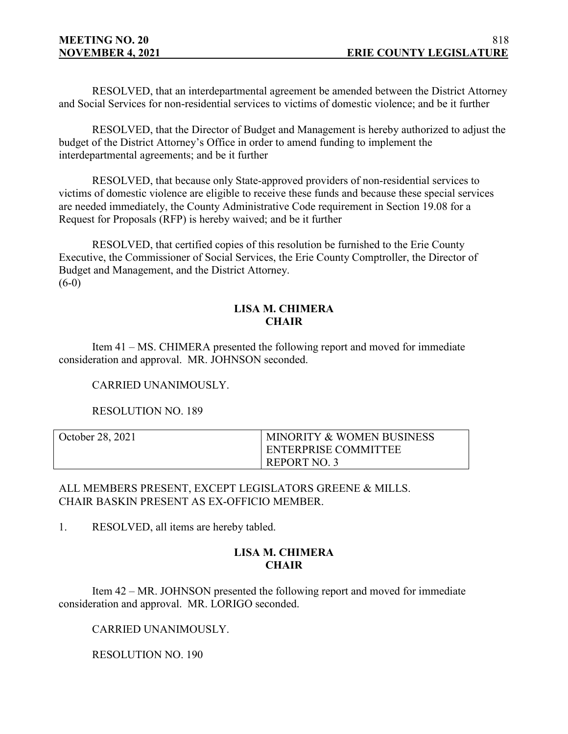RESOLVED, that an interdepartmental agreement be amended between the District Attorney and Social Services for non-residential services to victims of domestic violence; and be it further

RESOLVED, that the Director of Budget and Management is hereby authorized to adjust the budget of the District Attorney's Office in order to amend funding to implement the interdepartmental agreements; and be it further

RESOLVED, that because only State-approved providers of non-residential services to victims of domestic violence are eligible to receive these funds and because these special services are needed immediately, the County Administrative Code requirement in Section 19.08 for a Request for Proposals (RFP) is hereby waived; and be it further

RESOLVED, that certified copies of this resolution be furnished to the Erie County Executive, the Commissioner of Social Services, the Erie County Comptroller, the Director of Budget and Management, and the District Attorney.  $(6-0)$ 

## **LISA M. CHIMERA CHAIR**

Item 41 – MS. CHIMERA presented the following report and moved for immediate consideration and approval. MR. JOHNSON seconded.

CARRIED UNANIMOUSLY.

RESOLUTION NO. 189

| October 28, 2021 | <b>MINORITY &amp; WOMEN BUSINESS</b> |
|------------------|--------------------------------------|
|                  | ENTERPRISE COMMITTEE                 |
|                  | REPORT NO.                           |

ALL MEMBERS PRESENT, EXCEPT LEGISLATORS GREENE & MILLS. CHAIR BASKIN PRESENT AS EX-OFFICIO MEMBER.

1. RESOLVED, all items are hereby tabled.

## **LISA M. CHIMERA CHAIR**

Item 42 – MR. JOHNSON presented the following report and moved for immediate consideration and approval. MR. LORIGO seconded.

CARRIED UNANIMOUSLY.

RESOLUTION NO. 190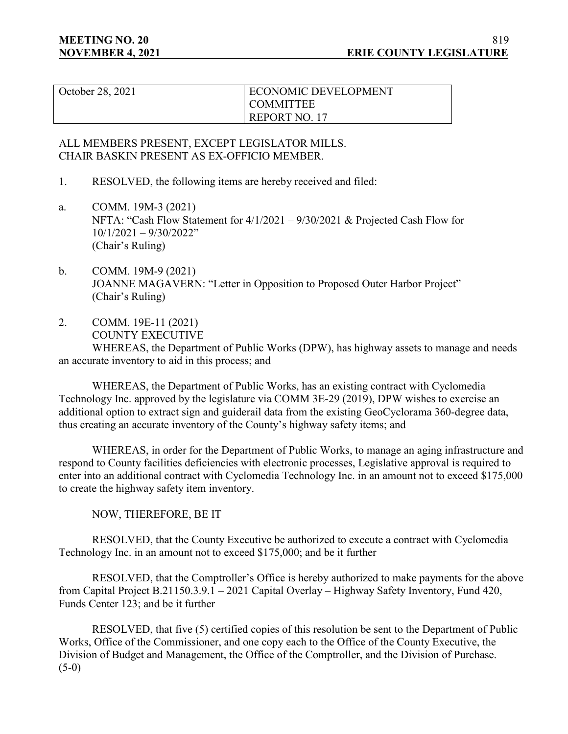| October 28, 2021 | <b>ECONOMIC DEVELOPMENT</b> |
|------------------|-----------------------------|
|                  | <b>COMMITTEE</b>            |
|                  | REPORT NO. 17               |

## ALL MEMBERS PRESENT, EXCEPT LEGISLATOR MILLS. CHAIR BASKIN PRESENT AS EX-OFFICIO MEMBER.

- 1. RESOLVED, the following items are hereby received and filed:
- a. COMM. 19M-3 (2021) NFTA: "Cash Flow Statement for 4/1/2021 – 9/30/2021 & Projected Cash Flow for 10/1/2021 – 9/30/2022" (Chair's Ruling)
- b. COMM. 19M-9 (2021) JOANNE MAGAVERN: "Letter in Opposition to Proposed Outer Harbor Project" (Chair's Ruling)
- 2. COMM. 19E-11 (2021) COUNTY EXECUTIVE

WHEREAS, the Department of Public Works (DPW), has highway assets to manage and needs an accurate inventory to aid in this process; and

WHEREAS, the Department of Public Works, has an existing contract with Cyclomedia Technology Inc. approved by the legislature via COMM 3E-29 (2019), DPW wishes to exercise an additional option to extract sign and guiderail data from the existing GeoCyclorama 360-degree data, thus creating an accurate inventory of the County's highway safety items; and

WHEREAS, in order for the Department of Public Works, to manage an aging infrastructure and respond to County facilities deficiencies with electronic processes, Legislative approval is required to enter into an additional contract with Cyclomedia Technology Inc. in an amount not to exceed \$175,000 to create the highway safety item inventory.

NOW, THEREFORE, BE IT

RESOLVED, that the County Executive be authorized to execute a contract with Cyclomedia Technology Inc. in an amount not to exceed \$175,000; and be it further

RESOLVED, that the Comptroller's Office is hereby authorized to make payments for the above from Capital Project B.21150.3.9.1 – 2021 Capital Overlay – Highway Safety Inventory, Fund 420, Funds Center 123; and be it further

RESOLVED, that five (5) certified copies of this resolution be sent to the Department of Public Works, Office of the Commissioner, and one copy each to the Office of the County Executive, the Division of Budget and Management, the Office of the Comptroller, and the Division of Purchase.  $(5-0)$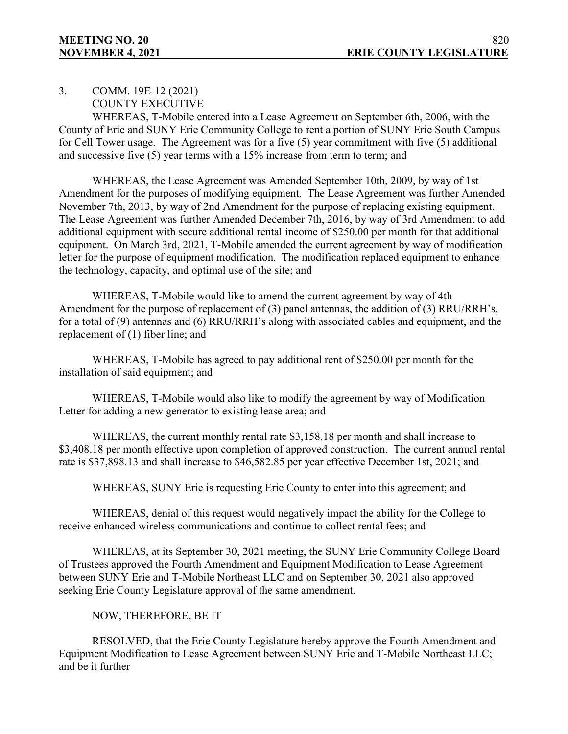3. COMM. 19E-12 (2021)

COUNTY EXECUTIVE

WHEREAS, T-Mobile entered into a Lease Agreement on September 6th, 2006, with the County of Erie and SUNY Erie Community College to rent a portion of SUNY Erie South Campus for Cell Tower usage. The Agreement was for a five (5) year commitment with five (5) additional and successive five (5) year terms with a 15% increase from term to term; and

WHEREAS, the Lease Agreement was Amended September 10th, 2009, by way of 1st Amendment for the purposes of modifying equipment. The Lease Agreement was further Amended November 7th, 2013, by way of 2nd Amendment for the purpose of replacing existing equipment. The Lease Agreement was further Amended December 7th, 2016, by way of 3rd Amendment to add additional equipment with secure additional rental income of \$250.00 per month for that additional equipment. On March 3rd, 2021, T-Mobile amended the current agreement by way of modification letter for the purpose of equipment modification. The modification replaced equipment to enhance the technology, capacity, and optimal use of the site; and

WHEREAS, T-Mobile would like to amend the current agreement by way of 4th Amendment for the purpose of replacement of (3) panel antennas, the addition of (3) RRU/RRH's, for a total of (9) antennas and (6) RRU/RRH's along with associated cables and equipment, and the replacement of (1) fiber line; and

WHEREAS, T-Mobile has agreed to pay additional rent of \$250.00 per month for the installation of said equipment; and

WHEREAS, T-Mobile would also like to modify the agreement by way of Modification Letter for adding a new generator to existing lease area; and

WHEREAS, the current monthly rental rate \$3,158.18 per month and shall increase to \$3,408.18 per month effective upon completion of approved construction. The current annual rental rate is \$37,898.13 and shall increase to \$46,582.85 per year effective December 1st, 2021; and

WHEREAS, SUNY Erie is requesting Erie County to enter into this agreement; and

WHEREAS, denial of this request would negatively impact the ability for the College to receive enhanced wireless communications and continue to collect rental fees; and

WHEREAS, at its September 30, 2021 meeting, the SUNY Erie Community College Board of Trustees approved the Fourth Amendment and Equipment Modification to Lease Agreement between SUNY Erie and T-Mobile Northeast LLC and on September 30, 2021 also approved seeking Erie County Legislature approval of the same amendment.

## NOW, THEREFORE, BE IT

RESOLVED, that the Erie County Legislature hereby approve the Fourth Amendment and Equipment Modification to Lease Agreement between SUNY Erie and T-Mobile Northeast LLC; and be it further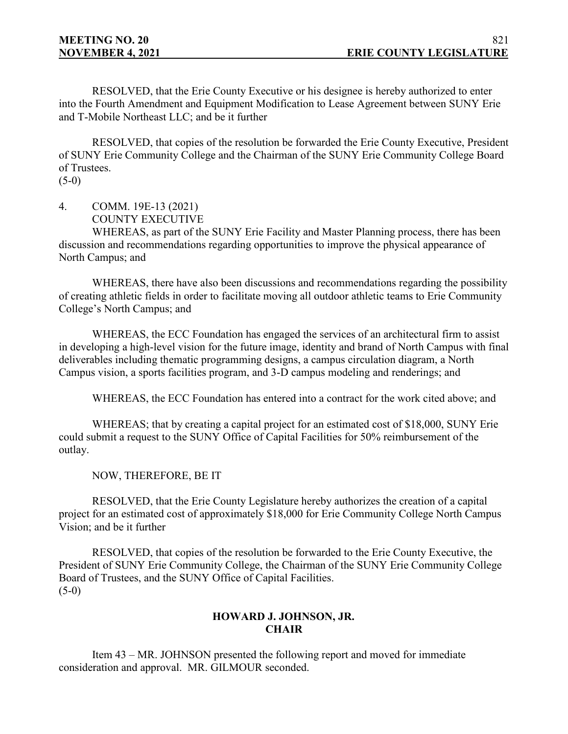RESOLVED, that the Erie County Executive or his designee is hereby authorized to enter into the Fourth Amendment and Equipment Modification to Lease Agreement between SUNY Erie and T-Mobile Northeast LLC; and be it further

RESOLVED, that copies of the resolution be forwarded the Erie County Executive, President of SUNY Erie Community College and the Chairman of the SUNY Erie Community College Board of Trustees.

 $(5-0)$ 

4. COMM. 19E-13 (2021) COUNTY EXECUTIVE

WHEREAS, as part of the SUNY Erie Facility and Master Planning process, there has been discussion and recommendations regarding opportunities to improve the physical appearance of North Campus; and

WHEREAS, there have also been discussions and recommendations regarding the possibility of creating athletic fields in order to facilitate moving all outdoor athletic teams to Erie Community College's North Campus; and

WHEREAS, the ECC Foundation has engaged the services of an architectural firm to assist in developing a high-level vision for the future image, identity and brand of North Campus with final deliverables including thematic programming designs, a campus circulation diagram, a North Campus vision, a sports facilities program, and 3-D campus modeling and renderings; and

WHEREAS, the ECC Foundation has entered into a contract for the work cited above; and

WHEREAS; that by creating a capital project for an estimated cost of \$18,000, SUNY Erie could submit a request to the SUNY Office of Capital Facilities for 50% reimbursement of the outlay.

NOW, THEREFORE, BE IT

RESOLVED, that the Erie County Legislature hereby authorizes the creation of a capital project for an estimated cost of approximately \$18,000 for Erie Community College North Campus Vision; and be it further

RESOLVED, that copies of the resolution be forwarded to the Erie County Executive, the President of SUNY Erie Community College, the Chairman of the SUNY Erie Community College Board of Trustees, and the SUNY Office of Capital Facilities.  $(5-0)$ 

## **HOWARD J. JOHNSON, JR. CHAIR**

Item 43 – MR. JOHNSON presented the following report and moved for immediate consideration and approval. MR. GILMOUR seconded.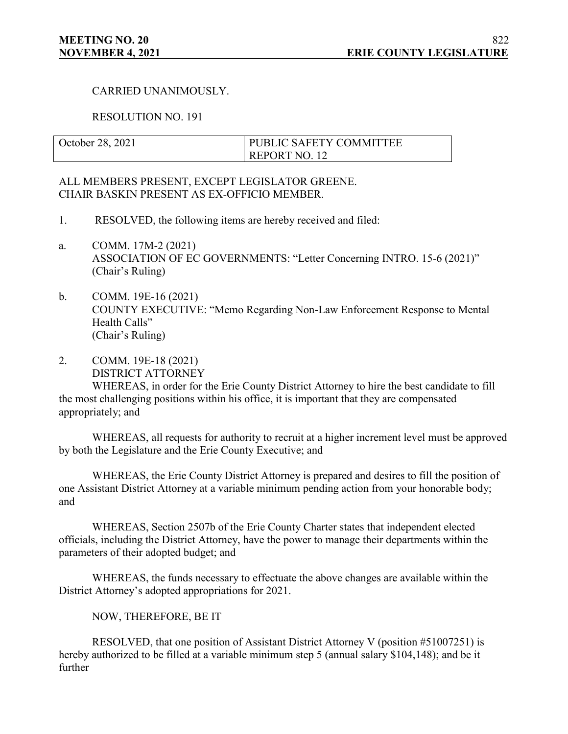## CARRIED UNANIMOUSLY.

#### RESOLUTION NO. 191

| October 28, 2021 | <b>I PUBLIC SAFETY COMMITTEE</b> |
|------------------|----------------------------------|
|                  | REPORT NO. 12                    |

## ALL MEMBERS PRESENT, EXCEPT LEGISLATOR GREENE. CHAIR BASKIN PRESENT AS EX-OFFICIO MEMBER.

- 1. RESOLVED, the following items are hereby received and filed:
- a. COMM. 17M-2 (2021) ASSOCIATION OF EC GOVERNMENTS: "Letter Concerning INTRO. 15-6 (2021)" (Chair's Ruling)
- b. COMM. 19E-16 (2021) COUNTY EXECUTIVE: "Memo Regarding Non-Law Enforcement Response to Mental Health Calls" (Chair's Ruling)
- 2. COMM. 19E-18 (2021) DISTRICT ATTORNEY

WHEREAS, in order for the Erie County District Attorney to hire the best candidate to fill the most challenging positions within his office, it is important that they are compensated appropriately; and

WHEREAS, all requests for authority to recruit at a higher increment level must be approved by both the Legislature and the Erie County Executive; and

WHEREAS, the Erie County District Attorney is prepared and desires to fill the position of one Assistant District Attorney at a variable minimum pending action from your honorable body; and

WHEREAS, Section 2507b of the Erie County Charter states that independent elected officials, including the District Attorney, have the power to manage their departments within the parameters of their adopted budget; and

WHEREAS, the funds necessary to effectuate the above changes are available within the District Attorney's adopted appropriations for 2021.

NOW, THEREFORE, BE IT

RESOLVED, that one position of Assistant District Attorney V (position #51007251) is hereby authorized to be filled at a variable minimum step 5 (annual salary \$104,148); and be it further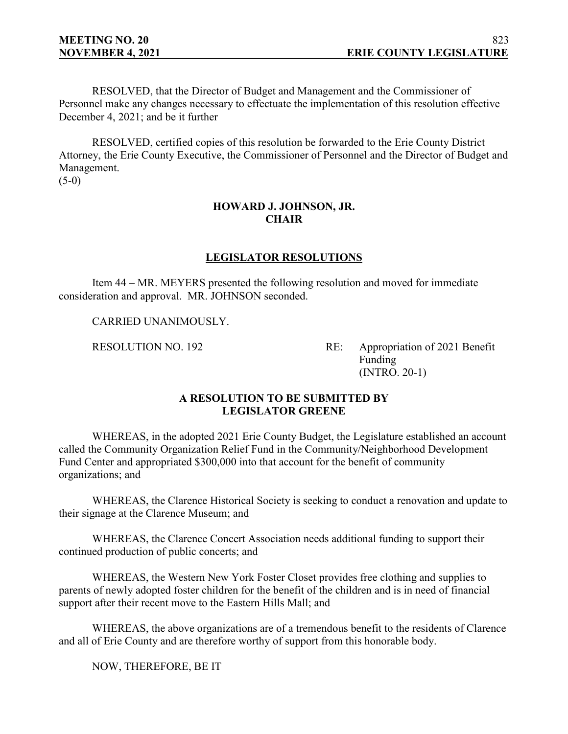RESOLVED, that the Director of Budget and Management and the Commissioner of Personnel make any changes necessary to effectuate the implementation of this resolution effective December 4, 2021; and be it further

RESOLVED, certified copies of this resolution be forwarded to the Erie County District Attorney, the Erie County Executive, the Commissioner of Personnel and the Director of Budget and Management.

 $(5-0)$ 

## **HOWARD J. JOHNSON, JR. CHAIR**

## **LEGISLATOR RESOLUTIONS**

Item 44 – MR. MEYERS presented the following resolution and moved for immediate consideration and approval. MR. JOHNSON seconded.

CARRIED UNANIMOUSLY.

RESOLUTION NO. 192 RE: Appropriation of 2021 Benefit Funding (INTRO. 20-1)

## **A RESOLUTION TO BE SUBMITTED BY LEGISLATOR GREENE**

WHEREAS, in the adopted 2021 Erie County Budget, the Legislature established an account called the Community Organization Relief Fund in the Community/Neighborhood Development Fund Center and appropriated \$300,000 into that account for the benefit of community organizations; and

WHEREAS, the Clarence Historical Society is seeking to conduct a renovation and update to their signage at the Clarence Museum; and

WHEREAS, the Clarence Concert Association needs additional funding to support their continued production of public concerts; and

WHEREAS, the Western New York Foster Closet provides free clothing and supplies to parents of newly adopted foster children for the benefit of the children and is in need of financial support after their recent move to the Eastern Hills Mall; and

WHEREAS, the above organizations are of a tremendous benefit to the residents of Clarence and all of Erie County and are therefore worthy of support from this honorable body.

NOW, THEREFORE, BE IT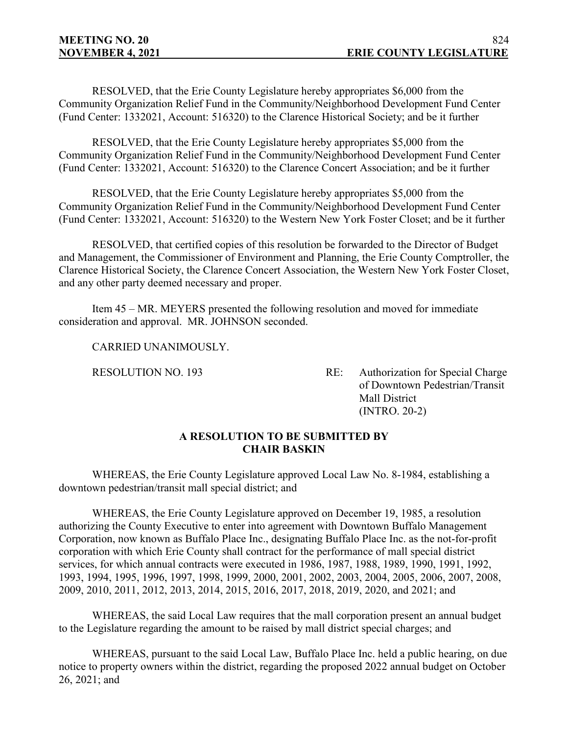RESOLVED, that the Erie County Legislature hereby appropriates \$6,000 from the Community Organization Relief Fund in the Community/Neighborhood Development Fund Center (Fund Center: 1332021, Account: 516320) to the Clarence Historical Society; and be it further

RESOLVED, that the Erie County Legislature hereby appropriates \$5,000 from the Community Organization Relief Fund in the Community/Neighborhood Development Fund Center (Fund Center: 1332021, Account: 516320) to the Clarence Concert Association; and be it further

RESOLVED, that the Erie County Legislature hereby appropriates \$5,000 from the Community Organization Relief Fund in the Community/Neighborhood Development Fund Center (Fund Center: 1332021, Account: 516320) to the Western New York Foster Closet; and be it further

RESOLVED, that certified copies of this resolution be forwarded to the Director of Budget and Management, the Commissioner of Environment and Planning, the Erie County Comptroller, the Clarence Historical Society, the Clarence Concert Association, the Western New York Foster Closet, and any other party deemed necessary and proper.

Item 45 – MR. MEYERS presented the following resolution and moved for immediate consideration and approval. MR. JOHNSON seconded.

CARRIED UNANIMOUSLY.

RESOLUTION NO. 193 RE: Authorization for Special Charge of Downtown Pedestrian/Transit Mall District (INTRO. 20-2)

## **A RESOLUTION TO BE SUBMITTED BY CHAIR BASKIN**

WHEREAS, the Erie County Legislature approved Local Law No. 8-1984, establishing a downtown pedestrian/transit mall special district; and

WHEREAS, the Erie County Legislature approved on December 19, 1985, a resolution authorizing the County Executive to enter into agreement with Downtown Buffalo Management Corporation, now known as Buffalo Place Inc., designating Buffalo Place Inc. as the not-for-profit corporation with which Erie County shall contract for the performance of mall special district services, for which annual contracts were executed in 1986, 1987, 1988, 1989, 1990, 1991, 1992, 1993, 1994, 1995, 1996, 1997, 1998, 1999, 2000, 2001, 2002, 2003, 2004, 2005, 2006, 2007, 2008, 2009, 2010, 2011, 2012, 2013, 2014, 2015, 2016, 2017, 2018, 2019, 2020, and 2021; and

WHEREAS, the said Local Law requires that the mall corporation present an annual budget to the Legislature regarding the amount to be raised by mall district special charges; and

WHEREAS, pursuant to the said Local Law, Buffalo Place Inc. held a public hearing, on due notice to property owners within the district, regarding the proposed 2022 annual budget on October 26, 2021; and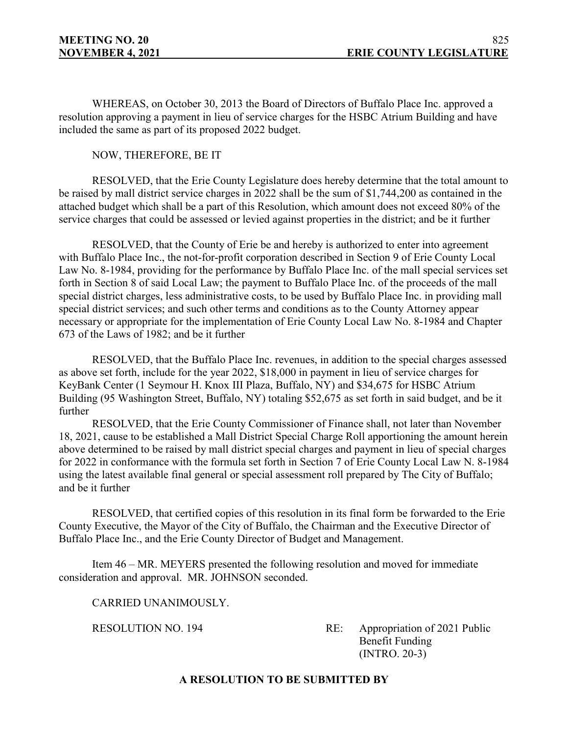WHEREAS, on October 30, 2013 the Board of Directors of Buffalo Place Inc. approved a resolution approving a payment in lieu of service charges for the HSBC Atrium Building and have included the same as part of its proposed 2022 budget.

## NOW, THEREFORE, BE IT

RESOLVED, that the Erie County Legislature does hereby determine that the total amount to be raised by mall district service charges in 2022 shall be the sum of \$1,744,200 as contained in the attached budget which shall be a part of this Resolution, which amount does not exceed 80% of the service charges that could be assessed or levied against properties in the district; and be it further

RESOLVED, that the County of Erie be and hereby is authorized to enter into agreement with Buffalo Place Inc., the not-for-profit corporation described in Section 9 of Erie County Local Law No. 8-1984, providing for the performance by Buffalo Place Inc. of the mall special services set forth in Section 8 of said Local Law; the payment to Buffalo Place Inc. of the proceeds of the mall special district charges, less administrative costs, to be used by Buffalo Place Inc. in providing mall special district services; and such other terms and conditions as to the County Attorney appear necessary or appropriate for the implementation of Erie County Local Law No. 8-1984 and Chapter 673 of the Laws of 1982; and be it further

RESOLVED, that the Buffalo Place Inc. revenues, in addition to the special charges assessed as above set forth, include for the year 2022, \$18,000 in payment in lieu of service charges for KeyBank Center (1 Seymour H. Knox III Plaza, Buffalo, NY) and \$34,675 for HSBC Atrium Building (95 Washington Street, Buffalo, NY) totaling \$52,675 as set forth in said budget, and be it further

RESOLVED, that the Erie County Commissioner of Finance shall, not later than November 18, 2021, cause to be established a Mall District Special Charge Roll apportioning the amount herein above determined to be raised by mall district special charges and payment in lieu of special charges for 2022 in conformance with the formula set forth in Section 7 of Erie County Local Law N. 8-1984 using the latest available final general or special assessment roll prepared by The City of Buffalo; and be it further

RESOLVED, that certified copies of this resolution in its final form be forwarded to the Erie County Executive, the Mayor of the City of Buffalo, the Chairman and the Executive Director of Buffalo Place Inc., and the Erie County Director of Budget and Management.

Item 46 – MR. MEYERS presented the following resolution and moved for immediate consideration and approval. MR. JOHNSON seconded.

CARRIED UNANIMOUSLY.

RESOLUTION NO. 194 RE: Appropriation of 2021 Public Benefit Funding (INTRO. 20-3)

## **A RESOLUTION TO BE SUBMITTED BY**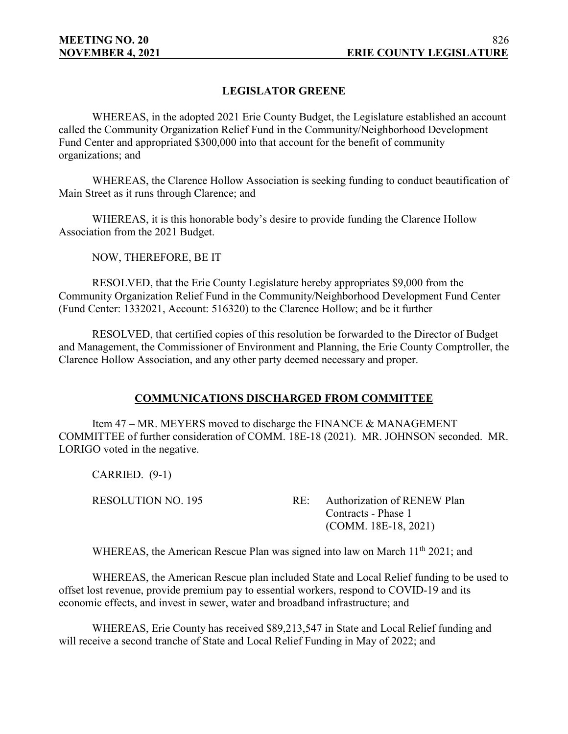## **LEGISLATOR GREENE**

WHEREAS, in the adopted 2021 Erie County Budget, the Legislature established an account called the Community Organization Relief Fund in the Community/Neighborhood Development Fund Center and appropriated \$300,000 into that account for the benefit of community organizations; and

WHEREAS, the Clarence Hollow Association is seeking funding to conduct beautification of Main Street as it runs through Clarence; and

WHEREAS, it is this honorable body's desire to provide funding the Clarence Hollow Association from the 2021 Budget.

NOW, THEREFORE, BE IT

RESOLVED, that the Erie County Legislature hereby appropriates \$9,000 from the Community Organization Relief Fund in the Community/Neighborhood Development Fund Center (Fund Center: 1332021, Account: 516320) to the Clarence Hollow; and be it further

RESOLVED, that certified copies of this resolution be forwarded to the Director of Budget and Management, the Commissioner of Environment and Planning, the Erie County Comptroller, the Clarence Hollow Association, and any other party deemed necessary and proper.

## **COMMUNICATIONS DISCHARGED FROM COMMITTEE**

Item 47 – MR. MEYERS moved to discharge the FINANCE & MANAGEMENT COMMITTEE of further consideration of COMM. 18E-18 (2021). MR. JOHNSON seconded. MR. LORIGO voted in the negative.

CARRIED. (9-1)

RESOLUTION NO. 195 RE: Authorization of RENEW Plan Contracts - Phase 1 (COMM. 18E-18, 2021)

WHEREAS, the American Rescue Plan was signed into law on March 11<sup>th</sup> 2021; and

WHEREAS, the American Rescue plan included State and Local Relief funding to be used to offset lost revenue, provide premium pay to essential workers, respond to COVID-19 and its economic effects, and invest in sewer, water and broadband infrastructure; and

WHEREAS, Erie County has received \$89,213,547 in State and Local Relief funding and will receive a second tranche of State and Local Relief Funding in May of 2022; and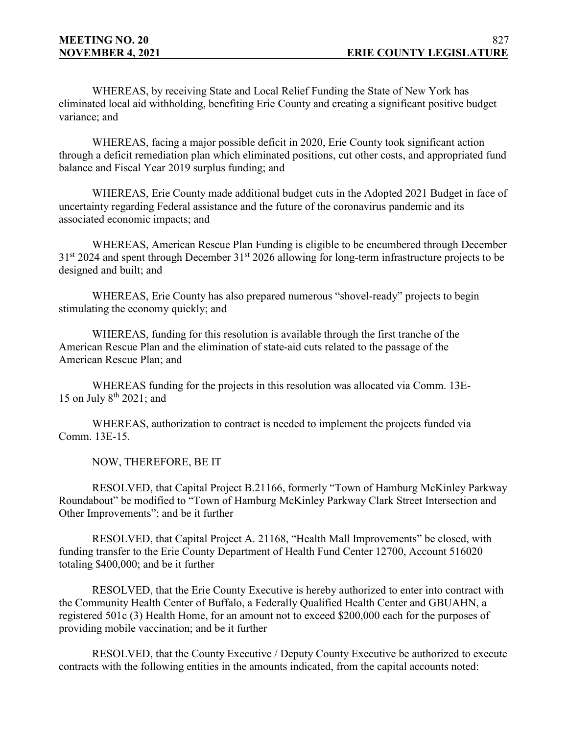WHEREAS, by receiving State and Local Relief Funding the State of New York has eliminated local aid withholding, benefiting Erie County and creating a significant positive budget variance; and

WHEREAS, facing a major possible deficit in 2020, Erie County took significant action through a deficit remediation plan which eliminated positions, cut other costs, and appropriated fund balance and Fiscal Year 2019 surplus funding; and

WHEREAS, Erie County made additional budget cuts in the Adopted 2021 Budget in face of uncertainty regarding Federal assistance and the future of the coronavirus pandemic and its associated economic impacts; and

WHEREAS, American Rescue Plan Funding is eligible to be encumbered through December  $31<sup>st</sup>$  2024 and spent through December  $31<sup>st</sup>$  2026 allowing for long-term infrastructure projects to be designed and built; and

WHEREAS, Erie County has also prepared numerous "shovel-ready" projects to begin stimulating the economy quickly; and

WHEREAS, funding for this resolution is available through the first tranche of the American Rescue Plan and the elimination of state-aid cuts related to the passage of the American Rescue Plan; and

WHEREAS funding for the projects in this resolution was allocated via Comm. 13E-15 on July  $8^{th}$  2021; and

WHEREAS, authorization to contract is needed to implement the projects funded via Comm. 13E-15.

NOW, THEREFORE, BE IT

RESOLVED, that Capital Project B.21166, formerly "Town of Hamburg McKinley Parkway Roundabout" be modified to "Town of Hamburg McKinley Parkway Clark Street Intersection and Other Improvements"; and be it further

RESOLVED, that Capital Project A. 21168, "Health Mall Improvements" be closed, with funding transfer to the Erie County Department of Health Fund Center 12700, Account 516020 totaling \$400,000; and be it further

RESOLVED, that the Erie County Executive is hereby authorized to enter into contract with the Community Health Center of Buffalo, a Federally Qualified Health Center and GBUAHN, a registered 501c (3) Health Home, for an amount not to exceed \$200,000 each for the purposes of providing mobile vaccination; and be it further

RESOLVED, that the County Executive / Deputy County Executive be authorized to execute contracts with the following entities in the amounts indicated, from the capital accounts noted: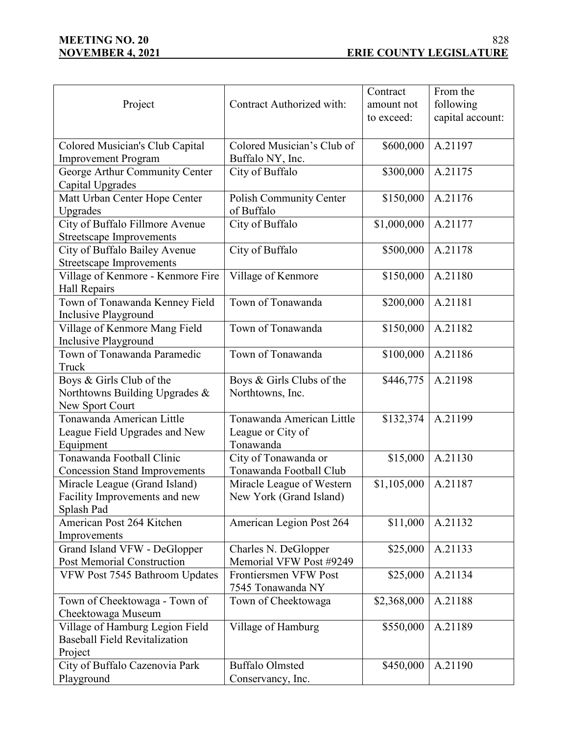|                                                                  |                                       | Contract    | From the         |
|------------------------------------------------------------------|---------------------------------------|-------------|------------------|
| Project                                                          | Contract Authorized with:             | amount not  | following        |
|                                                                  |                                       | to exceed:  | capital account: |
|                                                                  |                                       |             |                  |
| Colored Musician's Club Capital                                  | Colored Musician's Club of            | \$600,000   | A.21197          |
|                                                                  |                                       |             |                  |
| <b>Improvement Program</b>                                       | Buffalo NY, Inc.                      |             |                  |
| George Arthur Community Center                                   | City of Buffalo                       | \$300,000   | A.21175          |
| Capital Upgrades                                                 |                                       |             | A.21176          |
| Matt Urban Center Hope Center                                    | Polish Community Center<br>of Buffalo | \$150,000   |                  |
| Upgrades                                                         | City of Buffalo                       | \$1,000,000 | A.21177          |
| City of Buffalo Fillmore Avenue                                  |                                       |             |                  |
| <b>Streetscape Improvements</b>                                  | City of Buffalo                       | \$500,000   | A.21178          |
| City of Buffalo Bailey Avenue<br><b>Streetscape Improvements</b> |                                       |             |                  |
|                                                                  |                                       | \$150,000   | A.21180          |
| Village of Kenmore - Kenmore Fire<br>Hall Repairs                | Village of Kenmore                    |             |                  |
| Town of Tonawanda Kenney Field                                   | Town of Tonawanda                     | \$200,000   | A.21181          |
| Inclusive Playground                                             |                                       |             |                  |
| Village of Kenmore Mang Field                                    | Town of Tonawanda                     | \$150,000   | A.21182          |
| <b>Inclusive Playground</b>                                      |                                       |             |                  |
| Town of Tonawanda Paramedic                                      | Town of Tonawanda                     | \$100,000   | A.21186          |
| Truck                                                            |                                       |             |                  |
| Boys & Girls Club of the                                         | Boys & Girls Clubs of the             | \$446,775   | A.21198          |
| Northtowns Building Upgrades &                                   | Northtowns, Inc.                      |             |                  |
| New Sport Court                                                  |                                       |             |                  |
| Tonawanda American Little                                        | Tonawanda American Little             | \$132,374   | A.21199          |
| League Field Upgrades and New                                    | League or City of                     |             |                  |
| Equipment                                                        | Tonawanda                             |             |                  |
| Tonawanda Football Clinic                                        | City of Tonawanda or                  | \$15,000    | A.21130          |
| <b>Concession Stand Improvements</b>                             | Tonawanda Football Club               |             |                  |
| Miracle League (Grand Island)                                    | Miracle League of Western             | \$1,105,000 | A.21187          |
| Facility Improvements and new                                    | New York (Grand Island)               |             |                  |
| Splash Pad                                                       |                                       |             |                  |
| American Post 264 Kitchen                                        | American Legion Post 264              | \$11,000    | A.21132          |
| Improvements                                                     |                                       |             |                  |
| Grand Island VFW - DeGlopper                                     | Charles N. DeGlopper                  | \$25,000    | A.21133          |
| Post Memorial Construction                                       | Memorial VFW Post #9249               |             |                  |
| VFW Post 7545 Bathroom Updates                                   | Frontiersmen VFW Post                 | \$25,000    | A.21134          |
|                                                                  | 7545 Tonawanda NY                     |             |                  |
| Town of Cheektowaga - Town of                                    | Town of Cheektowaga                   | \$2,368,000 | A.21188          |
| Cheektowaga Museum                                               |                                       |             |                  |
| Village of Hamburg Legion Field                                  | Village of Hamburg                    | \$550,000   | A.21189          |
| <b>Baseball Field Revitalization</b>                             |                                       |             |                  |
| Project                                                          |                                       |             |                  |
| City of Buffalo Cazenovia Park                                   | <b>Buffalo Olmsted</b>                | \$450,000   | A.21190          |
| Playground                                                       | Conservancy, Inc.                     |             |                  |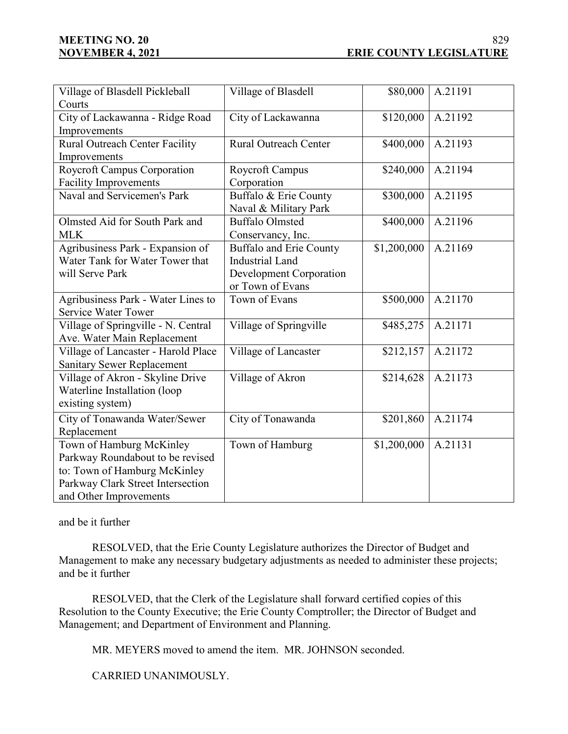# **MEETING NO. 20**

| Village of Blasdell Pickleball      | Village of Blasdell            | \$80,000    | A.21191 |
|-------------------------------------|--------------------------------|-------------|---------|
| Courts                              |                                |             |         |
| City of Lackawanna - Ridge Road     | City of Lackawanna             | \$120,000   | A.21192 |
| Improvements                        |                                |             |         |
| Rural Outreach Center Facility      | <b>Rural Outreach Center</b>   | \$400,000   | A.21193 |
| Improvements                        |                                |             |         |
| Roycroft Campus Corporation         | Roycroft Campus                | \$240,000   | A.21194 |
| <b>Facility Improvements</b>        | Corporation                    |             |         |
| Naval and Servicemen's Park         | Buffalo & Erie County          | \$300,000   | A.21195 |
|                                     | Naval & Military Park          |             |         |
| Olmsted Aid for South Park and      | <b>Buffalo Olmsted</b>         | \$400,000   | A.21196 |
| <b>MLK</b>                          | Conservancy, Inc.              |             |         |
| Agribusiness Park - Expansion of    | <b>Buffalo and Erie County</b> | \$1,200,000 | A.21169 |
| Water Tank for Water Tower that     | <b>Industrial Land</b>         |             |         |
| will Serve Park                     | <b>Development Corporation</b> |             |         |
|                                     | or Town of Evans               |             |         |
| Agribusiness Park - Water Lines to  | Town of Evans                  | \$500,000   | A.21170 |
| <b>Service Water Tower</b>          |                                |             |         |
| Village of Springville - N. Central | Village of Springville         | \$485,275   | A.21171 |
| Ave. Water Main Replacement         |                                |             |         |
| Village of Lancaster - Harold Place | Village of Lancaster           | \$212,157   | A.21172 |
| <b>Sanitary Sewer Replacement</b>   |                                |             |         |
| Village of Akron - Skyline Drive    | Village of Akron               | \$214,628   | A.21173 |
| Waterline Installation (loop        |                                |             |         |
| existing system)                    |                                |             |         |
| City of Tonawanda Water/Sewer       | City of Tonawanda              | \$201,860   | A.21174 |
| Replacement                         |                                |             |         |
| Town of Hamburg McKinley            | Town of Hamburg                | \$1,200,000 | A.21131 |
| Parkway Roundabout to be revised    |                                |             |         |
| to: Town of Hamburg McKinley        |                                |             |         |
| Parkway Clark Street Intersection   |                                |             |         |
| and Other Improvements              |                                |             |         |

and be it further

RESOLVED, that the Erie County Legislature authorizes the Director of Budget and Management to make any necessary budgetary adjustments as needed to administer these projects; and be it further

RESOLVED, that the Clerk of the Legislature shall forward certified copies of this Resolution to the County Executive; the Erie County Comptroller; the Director of Budget and Management; and Department of Environment and Planning.

MR. MEYERS moved to amend the item. MR. JOHNSON seconded.

CARRIED UNANIMOUSLY.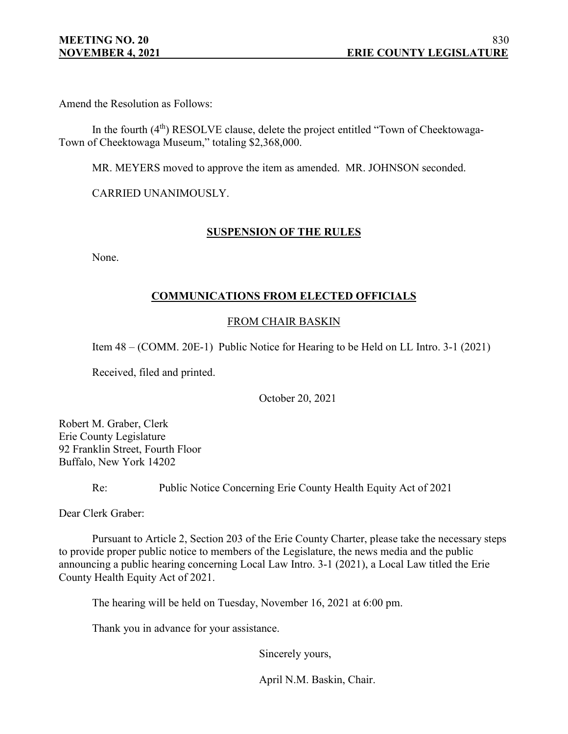Amend the Resolution as Follows:

In the fourth (4<sup>th</sup>) RESOLVE clause, delete the project entitled "Town of Cheektowaga-Town of Cheektowaga Museum," totaling \$2,368,000.

MR. MEYERS moved to approve the item as amended. MR. JOHNSON seconded.

CARRIED UNANIMOUSLY.

## **SUSPENSION OF THE RULES**

None.

## **COMMUNICATIONS FROM ELECTED OFFICIALS**

## FROM CHAIR BASKIN

Item 48 – (COMM. 20E-1) Public Notice for Hearing to be Held on LL Intro. 3-1 (2021)

Received, filed and printed.

October 20, 2021

Robert M. Graber, Clerk Erie County Legislature 92 Franklin Street, Fourth Floor Buffalo, New York 14202

Re: Public Notice Concerning Erie County Health Equity Act of 2021

Dear Clerk Graber:

Pursuant to Article 2, Section 203 of the Erie County Charter, please take the necessary steps to provide proper public notice to members of the Legislature, the news media and the public announcing a public hearing concerning Local Law Intro. 3-1 (2021), a Local Law titled the Erie County Health Equity Act of 2021.

The hearing will be held on Tuesday, November 16, 2021 at 6:00 pm.

Thank you in advance for your assistance.

Sincerely yours,

April N.M. Baskin, Chair.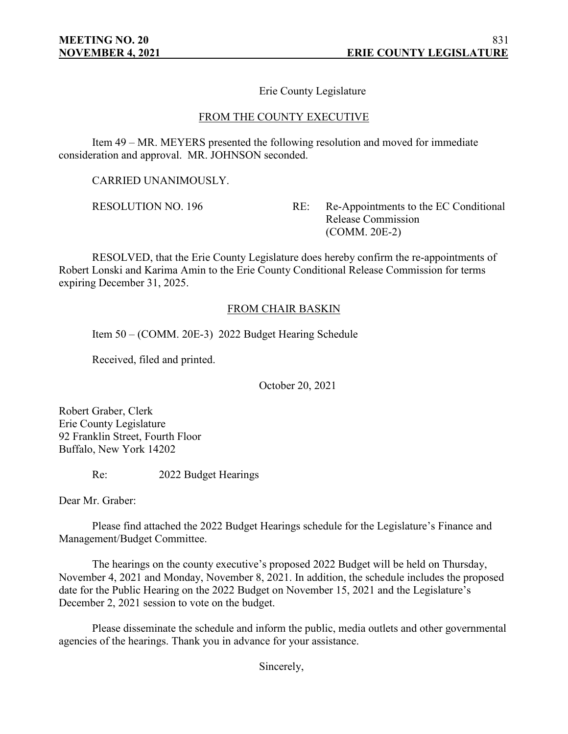Erie County Legislature

#### FROM THE COUNTY EXECUTIVE

Item 49 – MR. MEYERS presented the following resolution and moved for immediate consideration and approval. MR. JOHNSON seconded.

CARRIED UNANIMOUSLY.

RESOLUTION NO. 196 RE: Re-Appointments to the EC Conditional Release Commission (COMM. 20E-2)

RESOLVED, that the Erie County Legislature does hereby confirm the re-appointments of Robert Lonski and Karima Amin to the Erie County Conditional Release Commission for terms expiring December 31, 2025.

#### FROM CHAIR BASKIN

Item 50 – (COMM. 20E-3) 2022 Budget Hearing Schedule

Received, filed and printed.

October 20, 2021

Robert Graber, Clerk Erie County Legislature 92 Franklin Street, Fourth Floor Buffalo, New York 14202

Re: 2022 Budget Hearings

Dear Mr. Graber:

Please find attached the 2022 Budget Hearings schedule for the Legislature's Finance and Management/Budget Committee.

The hearings on the county executive's proposed 2022 Budget will be held on Thursday, November 4, 2021 and Monday, November 8, 2021. In addition, the schedule includes the proposed date for the Public Hearing on the 2022 Budget on November 15, 2021 and the Legislature's December 2, 2021 session to vote on the budget.

Please disseminate the schedule and inform the public, media outlets and other governmental agencies of the hearings. Thank you in advance for your assistance.

Sincerely,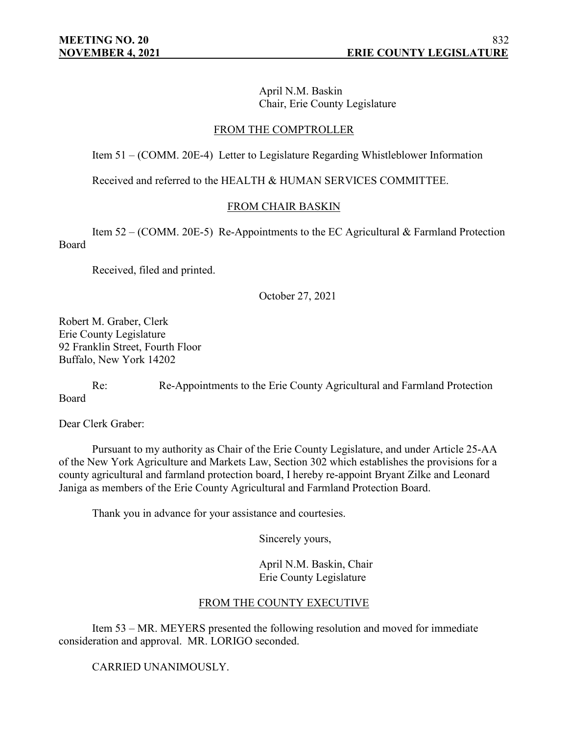April N.M. Baskin Chair, Erie County Legislature

## FROM THE COMPTROLLER

Item 51 – (COMM. 20E-4) Letter to Legislature Regarding Whistleblower Information

Received and referred to the HEALTH & HUMAN SERVICES COMMITTEE.

## FROM CHAIR BASKIN

Item 52 – (COMM. 20E-5) Re-Appointments to the EC Agricultural & Farmland Protection Board

Received, filed and printed.

October 27, 2021

Robert M. Graber, Clerk Erie County Legislature 92 Franklin Street, Fourth Floor Buffalo, New York 14202

Re: Re-Appointments to the Erie County Agricultural and Farmland Protection Board

Dear Clerk Graber:

Pursuant to my authority as Chair of the Erie County Legislature, and under Article 25-AA of the New York Agriculture and Markets Law, Section 302 which establishes the provisions for a county agricultural and farmland protection board, I hereby re-appoint Bryant Zilke and Leonard Janiga as members of the Erie County Agricultural and Farmland Protection Board.

Thank you in advance for your assistance and courtesies.

Sincerely yours,

April N.M. Baskin, Chair Erie County Legislature

## FROM THE COUNTY EXECUTIVE

Item 53 – MR. MEYERS presented the following resolution and moved for immediate consideration and approval. MR. LORIGO seconded.

CARRIED UNANIMOUSLY.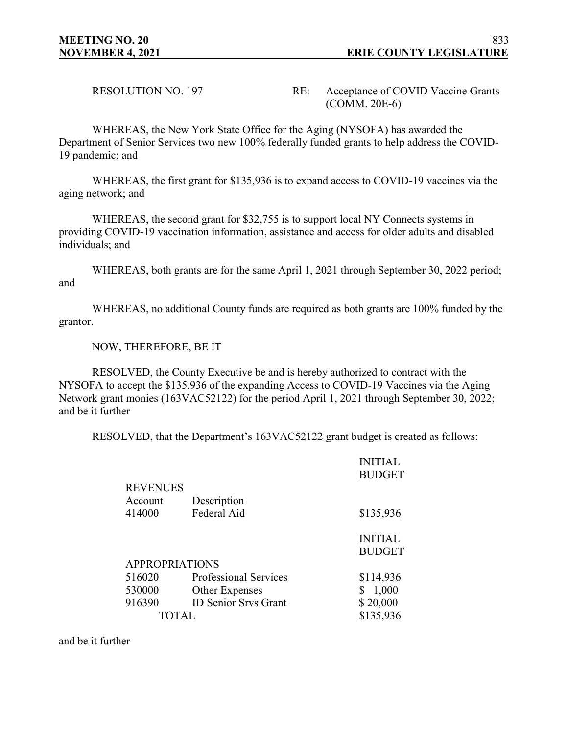RESOLUTION NO. 197 RE: Acceptance of COVID Vaccine Grants (COMM. 20E-6)

WHEREAS, the New York State Office for the Aging (NYSOFA) has awarded the Department of Senior Services two new 100% federally funded grants to help address the COVID-19 pandemic; and

WHEREAS, the first grant for \$135,936 is to expand access to COVID-19 vaccines via the aging network; and

WHEREAS, the second grant for \$32,755 is to support local NY Connects systems in providing COVID-19 vaccination information, assistance and access for older adults and disabled individuals; and

WHEREAS, both grants are for the same April 1, 2021 through September 30, 2022 period; and

WHEREAS, no additional County funds are required as both grants are 100% funded by the grantor.

NOW, THEREFORE, BE IT

RESOLVED, the County Executive be and is hereby authorized to contract with the NYSOFA to accept the \$135,936 of the expanding Access to COVID-19 Vaccines via the Aging Network grant monies (163VAC52122) for the period April 1, 2021 through September 30, 2022; and be it further

RESOLVED, that the Department's 163VAC52122 grant budget is created as follows:

|                       |                              | <b>INITIAL</b> |
|-----------------------|------------------------------|----------------|
|                       |                              | <b>BUDGET</b>  |
| <b>REVENUES</b>       |                              |                |
| Account               | Description                  |                |
| 414000                | Federal Aid                  | \$135,936      |
|                       |                              |                |
|                       |                              |                |
|                       |                              | <b>INITIAL</b> |
|                       |                              | <b>BUDGET</b>  |
| <b>APPROPRIATIONS</b> |                              |                |
| 516020                | <b>Professional Services</b> | \$114,936      |
| 530000                | Other Expenses               | 1,000<br>S.    |
| 916390                | <b>ID Senior Srvs Grant</b>  | \$20,000       |
| TOTAL                 |                              | \$135,936      |

and be it further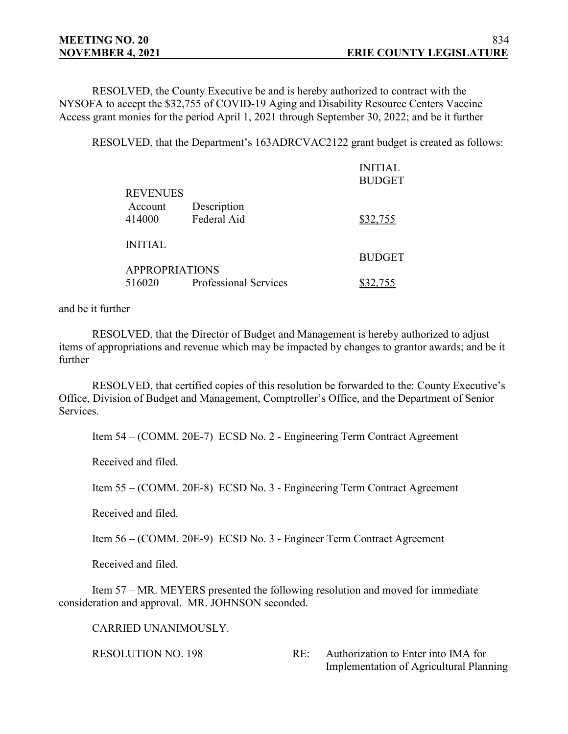RESOLVED, the County Executive be and is hereby authorized to contract with the NYSOFA to accept the \$32,755 of COVID-19 Aging and Disability Resource Centers Vaccine Access grant monies for the period April 1, 2021 through September 30, 2022; and be it further

RESOLVED, that the Department's 163ADRCVAC2122 grant budget is created as follows:

|                       |                              | <b>INITIAL</b> |  |
|-----------------------|------------------------------|----------------|--|
|                       |                              | <b>BUDGET</b>  |  |
| <b>REVENUES</b>       |                              |                |  |
| Account               | Description                  |                |  |
| 414000                | Federal Aid                  | \$32,755       |  |
| <b>INITIAL</b>        |                              |                |  |
|                       |                              | <b>BUDGET</b>  |  |
| <b>APPROPRIATIONS</b> |                              |                |  |
| 516020                | <b>Professional Services</b> | \$32,755       |  |

#### and be it further

RESOLVED, that the Director of Budget and Management is hereby authorized to adjust items of appropriations and revenue which may be impacted by changes to grantor awards; and be it further

RESOLVED, that certified copies of this resolution be forwarded to the: County Executive's Office, Division of Budget and Management, Comptroller's Office, and the Department of Senior Services.

Item 54 – (COMM. 20E-7) ECSD No. 2 - Engineering Term Contract Agreement

Received and filed.

Item 55 – (COMM. 20E-8) ECSD No. 3 - Engineering Term Contract Agreement

Received and filed.

Item 56 – (COMM. 20E-9) ECSD No. 3 - Engineer Term Contract Agreement

Received and filed.

Item 57 – MR. MEYERS presented the following resolution and moved for immediate consideration and approval. MR. JOHNSON seconded.

CARRIED UNANIMOUSLY.

RESOLUTION NO. 198 RE: Authorization to Enter into IMA for Implementation of Agricultural Planning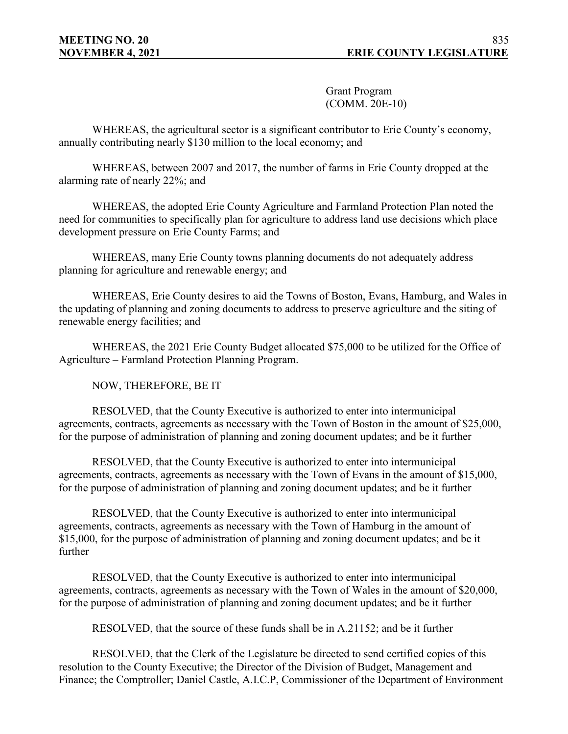Grant Program (COMM. 20E-10)

WHEREAS, the agricultural sector is a significant contributor to Erie County's economy, annually contributing nearly \$130 million to the local economy; and

WHEREAS, between 2007 and 2017, the number of farms in Erie County dropped at the alarming rate of nearly 22%; and

WHEREAS, the adopted Erie County Agriculture and Farmland Protection Plan noted the need for communities to specifically plan for agriculture to address land use decisions which place development pressure on Erie County Farms; and

WHEREAS, many Erie County towns planning documents do not adequately address planning for agriculture and renewable energy; and

WHEREAS, Erie County desires to aid the Towns of Boston, Evans, Hamburg, and Wales in the updating of planning and zoning documents to address to preserve agriculture and the siting of renewable energy facilities; and

WHEREAS, the 2021 Erie County Budget allocated \$75,000 to be utilized for the Office of Agriculture – Farmland Protection Planning Program.

NOW, THEREFORE, BE IT

RESOLVED, that the County Executive is authorized to enter into intermunicipal agreements, contracts, agreements as necessary with the Town of Boston in the amount of \$25,000, for the purpose of administration of planning and zoning document updates; and be it further

RESOLVED, that the County Executive is authorized to enter into intermunicipal agreements, contracts, agreements as necessary with the Town of Evans in the amount of \$15,000, for the purpose of administration of planning and zoning document updates; and be it further

RESOLVED, that the County Executive is authorized to enter into intermunicipal agreements, contracts, agreements as necessary with the Town of Hamburg in the amount of \$15,000, for the purpose of administration of planning and zoning document updates; and be it further

RESOLVED, that the County Executive is authorized to enter into intermunicipal agreements, contracts, agreements as necessary with the Town of Wales in the amount of \$20,000, for the purpose of administration of planning and zoning document updates; and be it further

RESOLVED, that the source of these funds shall be in A.21152; and be it further

RESOLVED, that the Clerk of the Legislature be directed to send certified copies of this resolution to the County Executive; the Director of the Division of Budget, Management and Finance; the Comptroller; Daniel Castle, A.I.C.P, Commissioner of the Department of Environment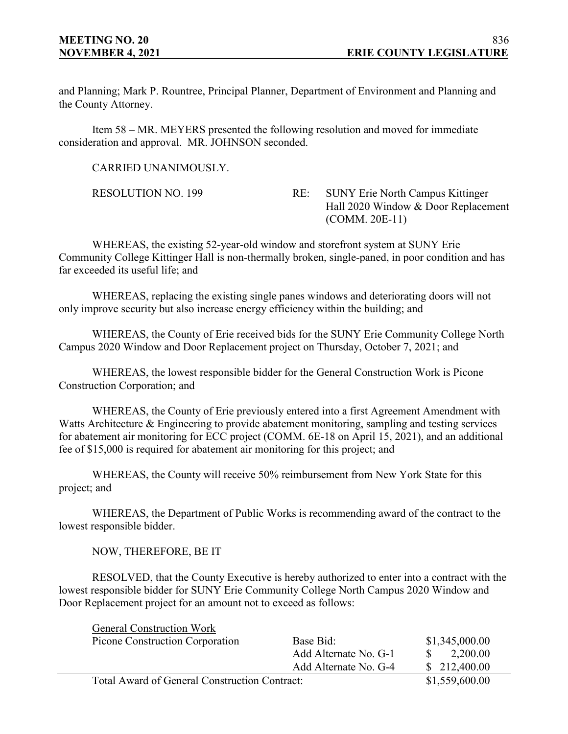and Planning; Mark P. Rountree, Principal Planner, Department of Environment and Planning and the County Attorney.

Item 58 – MR. MEYERS presented the following resolution and moved for immediate consideration and approval. MR. JOHNSON seconded.

CARRIED UNANIMOUSLY.

RESOLUTION NO. 199 RE: SUNY Erie North Campus Kittinger Hall 2020 Window & Door Replacement (COMM. 20E-11)

WHEREAS, the existing 52-year-old window and storefront system at SUNY Erie Community College Kittinger Hall is non-thermally broken, single-paned, in poor condition and has far exceeded its useful life; and

WHEREAS, replacing the existing single panes windows and deteriorating doors will not only improve security but also increase energy efficiency within the building; and

WHEREAS, the County of Erie received bids for the SUNY Erie Community College North Campus 2020 Window and Door Replacement project on Thursday, October 7, 2021; and

WHEREAS, the lowest responsible bidder for the General Construction Work is Picone Construction Corporation; and

WHEREAS, the County of Erie previously entered into a first Agreement Amendment with Watts Architecture & Engineering to provide abatement monitoring, sampling and testing services for abatement air monitoring for ECC project (COMM. 6E-18 on April 15, 2021), and an additional fee of \$15,000 is required for abatement air monitoring for this project; and

WHEREAS, the County will receive 50% reimbursement from New York State for this project; and

WHEREAS, the Department of Public Works is recommending award of the contract to the lowest responsible bidder.

NOW, THEREFORE, BE IT

RESOLVED, that the County Executive is hereby authorized to enter into a contract with the lowest responsible bidder for SUNY Erie Community College North Campus 2020 Window and Door Replacement project for an amount not to exceed as follows:

| <b>General Construction Work</b>              |                       |                |
|-----------------------------------------------|-----------------------|----------------|
| Picone Construction Corporation               | Base Bid:             | \$1,345,000.00 |
|                                               | Add Alternate No. G-1 | 2,200.00       |
|                                               | Add Alternate No. G-4 | \$212,400.00   |
| Total Award of General Construction Contract: |                       | \$1,559,600.00 |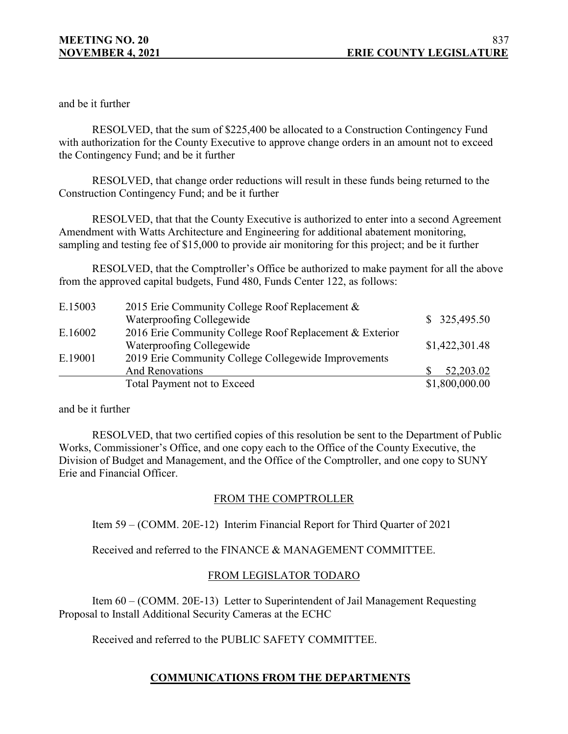and be it further

RESOLVED, that the sum of \$225,400 be allocated to a Construction Contingency Fund with authorization for the County Executive to approve change orders in an amount not to exceed the Contingency Fund; and be it further

RESOLVED, that change order reductions will result in these funds being returned to the Construction Contingency Fund; and be it further

RESOLVED, that that the County Executive is authorized to enter into a second Agreement Amendment with Watts Architecture and Engineering for additional abatement monitoring, sampling and testing fee of \$15,000 to provide air monitoring for this project; and be it further

RESOLVED, that the Comptroller's Office be authorized to make payment for all the above from the approved capital budgets, Fund 480, Funds Center 122, as follows:

| E.15003 | 2015 Erie Community College Roof Replacement &          |                |
|---------|---------------------------------------------------------|----------------|
|         | Waterproofing Collegewide                               | \$325,495.50   |
| E.16002 | 2016 Erie Community College Roof Replacement & Exterior |                |
|         | Waterproofing Collegewide                               | \$1,422,301.48 |
| E.19001 | 2019 Erie Community College Collegewide Improvements    |                |
|         | <b>And Renovations</b>                                  | 52,203.02      |
|         | Total Payment not to Exceed                             | \$1,800,000.00 |

and be it further

RESOLVED, that two certified copies of this resolution be sent to the Department of Public Works, Commissioner's Office, and one copy each to the Office of the County Executive, the Division of Budget and Management, and the Office of the Comptroller, and one copy to SUNY Erie and Financial Officer.

## FROM THE COMPTROLLER

Item 59 – (COMM. 20E-12) Interim Financial Report for Third Quarter of 2021

Received and referred to the FINANCE & MANAGEMENT COMMITTEE.

## FROM LEGISLATOR TODARO

Item 60 – (COMM. 20E-13) Letter to Superintendent of Jail Management Requesting Proposal to Install Additional Security Cameras at the ECHC

Received and referred to the PUBLIC SAFETY COMMITTEE.

# **COMMUNICATIONS FROM THE DEPARTMENTS**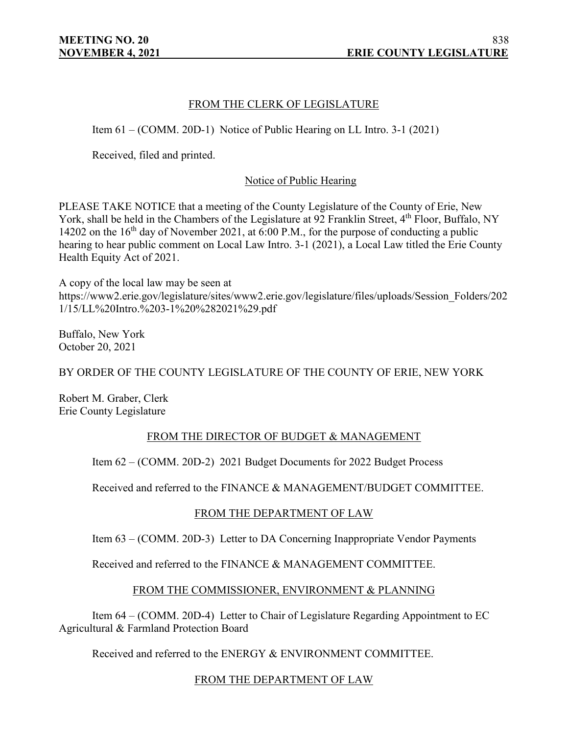## FROM THE CLERK OF LEGISLATURE

Item 61 – (COMM. 20D-1) Notice of Public Hearing on LL Intro. 3-1 (2021)

Received, filed and printed.

## Notice of Public Hearing

PLEASE TAKE NOTICE that a meeting of the County Legislature of the County of Erie, New York, shall be held in the Chambers of the Legislature at 92 Franklin Street, 4<sup>th</sup> Floor, Buffalo, NY 14202 on the  $16<sup>th</sup>$  day of November 2021, at 6:00 P.M., for the purpose of conducting a public hearing to hear public comment on Local Law Intro. 3-1 (2021), a Local Law titled the Erie County Health Equity Act of 2021.

A copy of the local law may be seen at https://www2.erie.gov/legislature/sites/www2.erie.gov/legislature/files/uploads/Session\_Folders/202 1/15/LL%20Intro.%203-1%20%282021%29.pdf

Buffalo, New York October 20, 2021

BY ORDER OF THE COUNTY LEGISLATURE OF THE COUNTY OF ERIE, NEW YORK

Robert M. Graber, Clerk Erie County Legislature

## FROM THE DIRECTOR OF BUDGET & MANAGEMENT

Item 62 – (COMM. 20D-2) 2021 Budget Documents for 2022 Budget Process

Received and referred to the FINANCE & MANAGEMENT/BUDGET COMMITTEE.

## FROM THE DEPARTMENT OF LAW

Item 63 – (COMM. 20D-3) Letter to DA Concerning Inappropriate Vendor Payments

Received and referred to the FINANCE & MANAGEMENT COMMITTEE.

## FROM THE COMMISSIONER, ENVIRONMENT & PLANNING

Item 64 – (COMM. 20D-4) Letter to Chair of Legislature Regarding Appointment to EC Agricultural & Farmland Protection Board

Received and referred to the ENERGY & ENVIRONMENT COMMITTEE.

## FROM THE DEPARTMENT OF LAW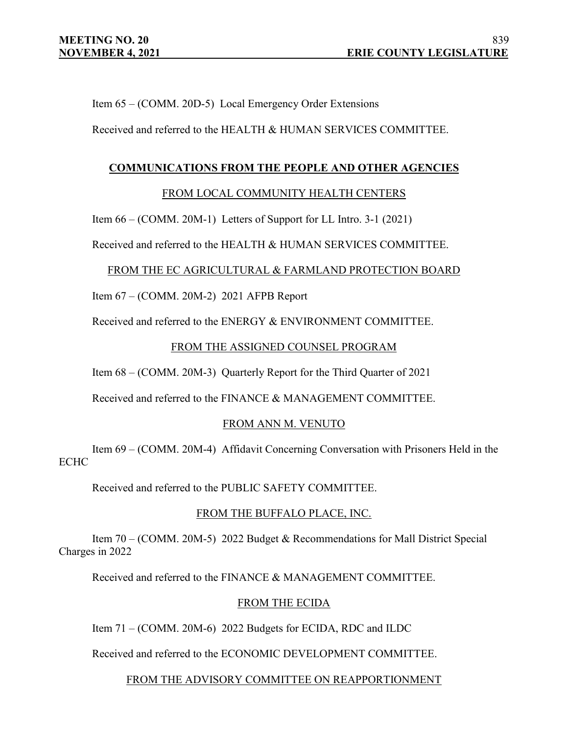Item 65 – (COMM. 20D-5) Local Emergency Order Extensions

Received and referred to the HEALTH & HUMAN SERVICES COMMITTEE.

## **COMMUNICATIONS FROM THE PEOPLE AND OTHER AGENCIES**

## FROM LOCAL COMMUNITY HEALTH CENTERS

Item 66 – (COMM. 20M-1) Letters of Support for LL Intro. 3-1 (2021)

Received and referred to the HEALTH & HUMAN SERVICES COMMITTEE.

## FROM THE EC AGRICULTURAL & FARMLAND PROTECTION BOARD

Item 67 – (COMM. 20M-2) 2021 AFPB Report

Received and referred to the ENERGY & ENVIRONMENT COMMITTEE.

## FROM THE ASSIGNED COUNSEL PROGRAM

Item 68 – (COMM. 20M-3) Quarterly Report for the Third Quarter of 2021

Received and referred to the FINANCE & MANAGEMENT COMMITTEE.

## FROM ANN M. VENUTO

Item 69 – (COMM. 20M-4) Affidavit Concerning Conversation with Prisoners Held in the ECHC

Received and referred to the PUBLIC SAFETY COMMITTEE.

## FROM THE BUFFALO PLACE, INC.

Item 70 – (COMM. 20M-5) 2022 Budget & Recommendations for Mall District Special Charges in 2022

Received and referred to the FINANCE & MANAGEMENT COMMITTEE.

## FROM THE ECIDA

Item 71 – (COMM. 20M-6) 2022 Budgets for ECIDA, RDC and ILDC

Received and referred to the ECONOMIC DEVELOPMENT COMMITTEE.

FROM THE ADVISORY COMMITTEE ON REAPPORTIONMENT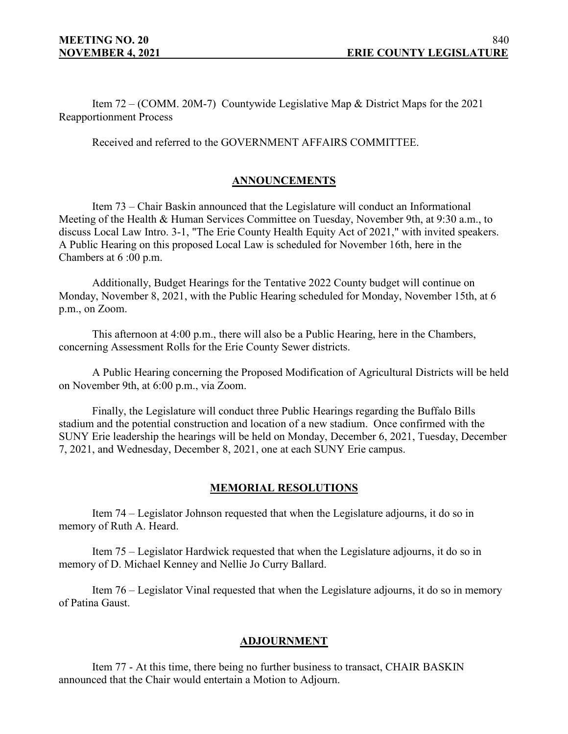Item 72 – (COMM. 20M-7) Countywide Legislative Map & District Maps for the 2021 Reapportionment Process

Received and referred to the GOVERNMENT AFFAIRS COMMITTEE.

## **ANNOUNCEMENTS**

Item 73 – Chair Baskin announced that the Legislature will conduct an Informational Meeting of the Health & Human Services Committee on Tuesday, November 9th, at 9:30 a.m., to discuss Local Law Intro. 3-1, "The Erie County Health Equity Act of 2021," with invited speakers. A Public Hearing on this proposed Local Law is scheduled for November 16th, here in the Chambers at 6 :00 p.m.

Additionally, Budget Hearings for the Tentative 2022 County budget will continue on Monday, November 8, 2021, with the Public Hearing scheduled for Monday, November 15th, at 6 p.m., on Zoom.

This afternoon at 4:00 p.m., there will also be a Public Hearing, here in the Chambers, concerning Assessment Rolls for the Erie County Sewer districts.

A Public Hearing concerning the Proposed Modification of Agricultural Districts will be held on November 9th, at 6:00 p.m., via Zoom.

Finally, the Legislature will conduct three Public Hearings regarding the Buffalo Bills stadium and the potential construction and location of a new stadium. Once confirmed with the SUNY Erie leadership the hearings will be held on Monday, December 6, 2021, Tuesday, December 7, 2021, and Wednesday, December 8, 2021, one at each SUNY Erie campus.

## **MEMORIAL RESOLUTIONS**

Item 74 – Legislator Johnson requested that when the Legislature adjourns, it do so in memory of Ruth A. Heard.

Item 75 – Legislator Hardwick requested that when the Legislature adjourns, it do so in memory of D. Michael Kenney and Nellie Jo Curry Ballard.

Item 76 – Legislator Vinal requested that when the Legislature adjourns, it do so in memory of Patina Gaust.

#### **ADJOURNMENT**

Item 77 - At this time, there being no further business to transact, CHAIR BASKIN announced that the Chair would entertain a Motion to Adjourn.